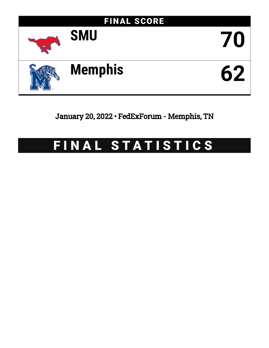

January 20, 2022 • FedExForum - Memphis, TN

# FINAL STATISTICS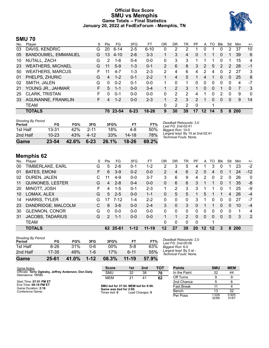### **Official Box Score SMU vs Memphis Game Totals -- Final Statistics January 20, 2022 at FedExForum - Memphis, TN**



### **SMU 70**

| Player                   | S  | <b>Pts</b>   | FG.      | 3FG      | FT        | OR            | DR | TR | PF            | A               | TO       | <b>BIK</b> | Stl      | Min | $+/-$ |
|--------------------------|----|--------------|----------|----------|-----------|---------------|----|----|---------------|-----------------|----------|------------|----------|-----|-------|
| DAVIS, KENDRIC           | G  | 20           | $6 - 14$ | 2-5      | $6 - 10$  | 0             | 2  | 2  |               | 0               |          |            | 2        | 37  | 10    |
| BANDOUMEL, EMMANUEL      | G  | 13           | $4 - 10$ | $2-6$    | $3 - 3$   |               | 3  | 4  | 0             |                 |          | 0          |          | 39  | 6     |
| NUTALL, ZACH             | G  | 2            | 1-6      | $0 - 4$  | $0 - 0$   | 0             | 3  | 3  |               |                 |          | $\Omega$   | 1        | 15  | 4     |
| <b>WEATHERS, MICHAEL</b> | G  | 11           | $5-9$    | $1 - 3$  | $0 - 1$   | $\mathcal{P}$ | 6  | 8  | 3.            | 2               | 5        | 2          | 2        | 28  | $-1$  |
| <b>WEATHERS, MARCUS</b>  | F. | 11           | $4 - 7$  | 1-3      | $2 - 3$   | 2             | 4  | 6  | 4             | 2               | 4        | 0          | 2        | 27  | 3     |
| PHELPS, ZHURIC           | G  | 4            | $1 - 2$  | $0 - 1$  | $2 - 2$   |               | 4  | 5  |               | 4               |          | $\Omega$   | 0        | 25  | 8     |
| SMITH, JALEN             | G  | $\mathbf{0}$ | $0 - 2$  | $0 - 1$  | $0 - 0$   |               | 0  |    | 0             | 0               | 0        | 0          | 0        | 4   | $-7$  |
| YOUNG JR., JAHMAR        | F. | 5            | $1 - 1$  | $0 - 0$  | $3 - 4$   |               | 2  | 3  |               | 0               | $\Omega$ |            | 0        | 7   | 3     |
| <b>CLARK, TRISTAN</b>    | F  | 0            | $0 - 1$  | $0 - 0$  | $0 - 0$   | 0             | 2  | 2  | 4             |                 | 0        |            | 0        | 9   | 0     |
| AGUNANNE, FRANKLIN       | F. | 4            | $1 - 2$  | $0 - 0$  | $2 - 3$   | 1             | 2  | 3  | $\mathcal{P}$ |                 | 0        | $\Omega$   | $\Omega$ | 9   | 14    |
| <b>TEAM</b>              |    |              |          |          |           | 0             | 2  | 2  | $\Omega$      |                 | 1        |            |          |     |       |
| <b>TOTALS</b>            |    | 70           |          | $6 - 23$ | $18 - 26$ | 9             | 30 | 39 | 17            | 12 <sup>2</sup> | 14       | 5          | 8        |     |       |
|                          |    |              |          | 23-54    |           |               |    |    |               |                 |          |            |          |     | 200   |

| <b>Shooting By Period</b><br>Period | FG        | FG%   | 3FG      | 3FG%  | FТ        | FT%   | Deadball Rebounds: 3,0<br>Last FG: 2nd-02:41               |
|-------------------------------------|-----------|-------|----------|-------|-----------|-------|------------------------------------------------------------|
| 1st Half                            | 13-31     | 42%   | $2 - 11$ | 18%   | 4-8       | 50%   | Biggest Run: 10-0                                          |
| 2nd Half                            | $10 - 23$ | 43%   | $4 - 12$ | 33%   | $14 - 18$ | 78%   | Largest lead: By 15 at 2nd-02:41<br>Technical Fouls: None. |
| Game                                | 23-54     | 42.6% | $6 - 23$ | 26.1% | 18-26     | 69.2% |                                                            |

# **Memphis 62**

| No. | Plaver                  | S  | Pts           | FG       | 3FG      | FT        | 0 <sub>R</sub> | DR       | TR             | PF        | A  | TO       | <b>B</b> lk | Stl      | Min        | $+/-$       |
|-----|-------------------------|----|---------------|----------|----------|-----------|----------------|----------|----------------|-----------|----|----------|-------------|----------|------------|-------------|
| 00  | TIMBERLAKE, EARL        | G  | 5             | $2-6$    | $0 - 1$  | 1-2       | 2              | 3        | 5              | 4         |    | 3        | 0           |          | 23         | $-2$        |
| 01  | <b>BATES, EMONI</b>     | F. | 6             | $3-9$    | $0 - 2$  | $0 - 0$   | $\overline{2}$ | 4        | 6              | 2         | 0  | 4        | 0           |          | 24         | $-12$       |
| 02  | DUREN, JALEN            | С  |               | $4-9$    | $0 - 0$  | $3 - 7$   | 3              | 6        | 9              | 4         | 2  | 0        | 2           | 0        | 26         | $\mathbf 0$ |
| 11  | <b>QUINONES, LESTER</b> | G  | 4             | $2 - 8$  | $0 - 4$  | $0 - 0$   | 0              | 6        | 6              | 3         | 1  |          | 0           |          | 35         | -8          |
| 20  | MINOTT, JOSH            | F  | 4             | $1 - 5$  | $0 - 1$  | $2 - 3$   | 1              | 2        | 3              | 3         |    | 1        | 0           |          | 25         | -9          |
| 10  | LOMAX, ALEX             | G  | 5             | $2 - 5$  | $0 - 0$  | $1 - 1$   | 0              | 5        | 5              |           | 5  | 1        |             | 4        | 26         | $-4$        |
| 14  | <b>HARRIS, TYLER</b>    | G  | 17            | $7 - 12$ | 1-4      | $2 - 2$   | 0              | 0        | 0              | 3         |    | 0        | 0           | 0        | 27         | $-7$        |
| 23  | DANDRIDGE, MALCOLM      | C. | 8             | $3-6$    | $0 - 0$  | $2 - 4$   | 3              | $\Omega$ | 3              | 0         |    |          | 0           | 0        | 10         | $-4$        |
| 30  | <b>GLENNON, CONOR</b>   | G  | $\Omega$      | $0 - 0$  | $0 - 0$  | $0 - 0$   | 0              | 0        | $\mathbf{0}$   | 0         | 0  | 0        | 0           | $\Omega$ | 1          | 4           |
| 31  | <b>JACOBS, TADARIUS</b> | G  | $\mathcal{P}$ | $1 - 1$  | $0 - 0$  | $0 - 0$   |                |          | $\overline{2}$ | 0         | 0  | $\Omega$ | 0           | 0        | 3          | 2           |
|     | <b>TEAM</b>             |    |               |          |          |           | 0              | 0        | 0              | 0         |    | 4        |             |          |            |             |
|     | <b>TOTALS</b>           |    | 62            | 25-61    | $1 - 12$ | $11 - 19$ | 12             | 27       | 39             | <b>20</b> | 12 | 12       | 3           | 8        | <b>200</b> |             |

| Game                                | 25-61 | 41.0% | $1 - 12$ | 08.3% | $11 - 19$ | 57.9% |
|-------------------------------------|-------|-------|----------|-------|-----------|-------|
| 2nd Half                            | 17-35 | 49%   | 1-6      | 17%   | ჩ-11      | 55%   |
| 1st Half                            | 8-26  | 31%   | Ი-Ნ      | 00%   | $5-8$     | 63%   |
| <b>Shooting By Period</b><br>Period | FG    | FG%   | 3FG      | 3FG%  | FT        | FT%   |

*Deadball Rebounds:* 2,0 *Last FG:* 2nd-00:06 *Biggest Run:* 6-0 *Largest lead:* By 0 at - *Technical Fouls:* None.

| Game Notes:                                                                | <b>Score</b>                             | 1st | 2 <sub>nd</sub> | TOT | <b>Points</b>     | <b>SMU</b>     | <b>MEM</b>     |
|----------------------------------------------------------------------------|------------------------------------------|-----|-----------------|-----|-------------------|----------------|----------------|
| Officials: Terry Oglesby, Jeffrey Anderson, Don Daily<br>Attendance: 13723 | <b>SMU</b>                               | 32  | 38              | 70  | In the Paint      | 32             | 44             |
|                                                                            | <b>MEM</b>                               | 21  | 41              | 62  | Off Turns         |                |                |
| Start Time: 07:01 PM ET                                                    |                                          |     |                 |     | 2nd Chance        |                |                |
| End Time: 09:18 PM ET<br>Game Duration: 2:16                               | SMU led for 37:54. MEM led for 0:00.     |     |                 |     | <b>Fast Break</b> |                |                |
| Conference Game:                                                           | Game was tied for 2:00.<br>Times tied: 0 |     | Lead Changes: 0 |     | Bench             |                | 32             |
|                                                                            |                                          |     |                 |     | Per Poss          | 1.029<br>32/68 | 0.925<br>31/67 |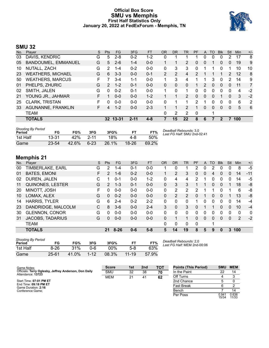#### **Official Box Score SMU vs Memphis First Half Statistics Only January 20, 2022 at FedExForum - Memphis, TN**



# **SMU 32**

| No. | Player                     | S  | <b>Pts</b>    | FG      | 3FG      | <b>FT</b> | <b>OR</b> | DR | TR             | <b>PF</b>     | A | TO       | <b>Blk</b> | Stl      | Min | $+/-$          |
|-----|----------------------------|----|---------------|---------|----------|-----------|-----------|----|----------------|---------------|---|----------|------------|----------|-----|----------------|
| 03  | DAVIS, KENDRIC             | G  | 5             | $2 - 8$ | $0 - 2$  | $1 - 2$   | 0         | 1  |                |               | 0 | 0        | 0          | 2        | 17  | 8              |
| 05  | <b>BANDOUMEL, EMMANUEL</b> | G  | 5             | $2-6$   | $1 - 4$  | $0 - 0$   |           |    | $\overline{2}$ | 0             | 0 |          | 0          | 0        | 19  | 9              |
| 10  | NUTALL, ZACH               | G  | 2             | $1 - 4$ | $0 - 2$  | $0 - 0$   | 0         | 3  | 3              | 0             | 1 |          | 0          |          | 10  | 10             |
| 23  | <b>WEATHERS, MICHAEL</b>   | G  | 6             | $3 - 3$ | $0 - 0$  | $0 - 1$   | 2         | 2  | 4              | 2             |   |          |            | 2        | 12  | 8              |
| 50  | <b>WEATHERS, MARCUS</b>    | F  |               | $3 - 4$ | $1 - 1$  | $0 - 0$   | 1         | 3  | 4              |               |   | 3        | 0          | 2        | 14  | 9              |
| 01  | PHELPS, ZHURIC             | G  | $\mathcal{P}$ | $1 - 2$ | $0 - 1$  | $0 - 0$   | 0         | 0  | 0              |               | 2 | 0        | 0          | 0        | 11  | 7              |
| 02  | SMITH, JALEN               | G  | 0             | $0 - 2$ | $0 - 1$  | $0-0$     | 1         | 0  | 1              | 0             | 0 | 0        | 0          | 0        | 4   | $-2$           |
| 21  | YOUNG JR., JAHMAR          | F  |               | $0 - 0$ | $0 - 0$  | $1 - 2$   | 1         | 1  | 2              | 0             | 0 | 0        |            | $\Omega$ | 3   | $-2$           |
| 25  | CLARK, TRISTAN             | F  | 0             | $0 - 0$ | $0 - 0$  | $0 - 0$   | $\Omega$  | 1  |                | $\mathcal{P}$ | 1 | 0        | 0          | 0        | 6   | $\overline{2}$ |
| 33  | AGUNANNE, FRANKLIN         | F. | 4             | $1 - 2$ | $0 - 0$  | $2 - 3$   |           | 1  | 2              |               | 0 | $\Omega$ | $\Omega$   | 0        | 5   | 6              |
|     | <b>TEAM</b>                |    |               |         |          |           | 0         | 2  | $\overline{2}$ | 0             |   |          |            |          |     |                |
|     | <b>TOTALS</b>              |    | 32            | 13-31   | $2 - 11$ | $4 - 8$   |           | 15 | 22             | 8             | 6 |          | 2          |          | 100 |                |
|     |                            |    |               |         |          |           |           |    |                |               |   |          |            |          |     |                |

| <b>Shooting By Period</b><br>Period | FG        | FG%   | 3FG      | 3FG%  |         | FT%   | Deadball Rebounds: 3,0<br>Last FG Half: SMU 2nd-02:41 |
|-------------------------------------|-----------|-------|----------|-------|---------|-------|-------------------------------------------------------|
| 1st Half                            | 13-31     | 42%   | -2-11    | 18%   | 4-8     | 50%   |                                                       |
| Game                                | $23 - 54$ | 42.6% | $6 - 23$ | 26.1% | $18-26$ | 69.2% |                                                       |

# **Memphis 21**

| No. | Player                  | S | <b>Pts</b>    | FG       | 3FG     | <b>FT</b> | <b>OR</b> | <b>DR</b>     | <b>TR</b>     | PF       | $\mathsf{A}$ | <b>TO</b> | <b>Blk</b>     | Stl | Min          | $+/-$        |
|-----|-------------------------|---|---------------|----------|---------|-----------|-----------|---------------|---------------|----------|--------------|-----------|----------------|-----|--------------|--------------|
| 00  | TIMBERLAKE, EARL        | G | 2             | $1 - 4$  | $0 - 1$ | $0 - 0$   |           | 0             |               | 2        | 0            | 2         | 0              |     | 8            | $-5$         |
| 01  | <b>BATES, EMONI</b>     | F | $\mathcal{P}$ | $1 - 6$  | $0 - 2$ | $0 - 0$   |           | 2             | 3             | 0        | 0            | 4         | $\overline{0}$ | 0   | 14           | $-11$        |
| 02  | DUREN, JALEN            | С |               | $0 - 1$  | $0 - 0$ | $1 - 2$   | 0         | 4             | 4             | 2        | 1            | 0         | 0              | 0   | 14           | -5           |
| 11  | <b>QUINONES, LESTER</b> | G | $\mathcal{P}$ | $1 - 3$  | $0 - 1$ | $0 - 0$   | $\Omega$  | 3             | 3             |          |              | 0         | $\Omega$       |     | 18           | -8           |
| 20  | MINOTT, JOSH            | F | 0             | $0 - 0$  | $0 - 0$ | $0 - 0$   | $\Omega$  | 2             | 2             | 2        |              |           | 0              |     | 6            | -8           |
| 10  | LOMAX, ALEX             | G | $\Omega$      | $0 - 2$  | $0 - 0$ | $0 - 0$   | $\Omega$  | $\mathcal{P}$ | $\mathcal{P}$ | 0        | 1            | 0         | $\mathbf{0}$   |     | 13           | -8           |
| 14  | <b>HARRIS, TYLER</b>    | G | 6             | $2 - 4$  | $0 - 2$ | $2 - 2$   | $\Omega$  | 0             | 0             |          | 0            | 0         | 0              | 0   | 14           | $-4$         |
| 23  | DANDRIDGE, MALCOLM      | C | 8             | $3-6$    | $0 - 0$ | $2 - 4$   | 3         | 0             | 3             | $\Omega$ |              |           | $\Omega$       | 0   | 10           | $-4$         |
| 30  | <b>GLENNON, CONOR</b>   | G | 0             | $0 - 0$  | $0 - 0$ | $0 - 0$   | 0         | 0             | $\Omega$      | 0        | 0            | 0         | 0              | 0   | $\mathbf{0}$ | $\mathbf{0}$ |
| 31  | <b>JACOBS, TADARIUS</b> | G | 0             | $0 - 0$  | $0 - 0$ | $0 - 0$   | $\Omega$  |               |               | 0        | 0            | 0         | $\Omega$       | 0   | 2            | $-2$         |
|     | <b>TEAM</b>             |   |               |          |         |           | $\Omega$  | 0             | 0             | 0        |              |           |                |     |              |              |
|     | <b>TOTALS</b>           |   | 21            | $8 - 26$ | $0 - 6$ | $5 - 8$   | 5         | 14            | 19            | 8        | 5            | 9         | 0              | 3   | 100          |              |

| <b>Shooting By Period</b><br>Period | FG        | FG%   | 3FG      | 3FG%   | FТ        | FT%   |
|-------------------------------------|-----------|-------|----------|--------|-----------|-------|
| 1st Half                            | $8 - 26$  | 31%   | റ-6      | $00\%$ | 5-8       | 63%   |
| Game                                | $25 - 61$ | 41.0% | $1 - 12$ | 08.3%  | $11 - 19$ | 57.9% |

*Deadball Rebounds:* 2,0 *Last FG Half:* MEM 2nd-00:06

| Game Notes:                                                                | <b>Score</b> | 1st | 2 <sub>nd</sub> | <b>TOT</b> | <b>Points (This Period)</b> | <b>SMU</b>              | <b>MEM</b>     |
|----------------------------------------------------------------------------|--------------|-----|-----------------|------------|-----------------------------|-------------------------|----------------|
| Officials: Terry Oglesby, Jeffrey Anderson, Don Daily<br>Attendance: 13723 | <b>SMU</b>   | 32  | 38              | 70         | In the Paint                |                         | 14             |
|                                                                            | <b>MEM</b>   | 21  | 41              | 62         | Off Turns                   |                         |                |
| Start Time: 07:01 PM ET                                                    |              |     |                 |            | 2nd Chance                  |                         |                |
| End Time: 09:18 PM ET<br>Game Duration: 2:16                               |              |     |                 |            | <b>Fast Break</b>           |                         |                |
| Conference Game:                                                           |              |     |                 |            | Bench                       |                         |                |
|                                                                            |              |     |                 |            | Per Poss                    | $0.94^{\circ}$<br>15/34 | 0.636<br>11/33 |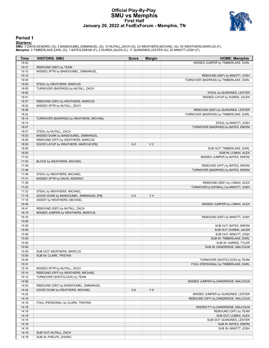#### **Official Play-By-Play SMU vs Memphis First Half January 20, 2022 at FedExForum - Memphis, TN**



#### **Period 1**

<mark>Starters:</mark><br>SMU: 3 DAVIS,KENDRIC (G); 5 BANDOUMEL,EMMANUEL (G); 10 NUTALL,ZACH (G); 23 WEATHERS,MICHAEL (G); 50 WEATHERS,MARCUS (F);<br>**Memphis**: 0 TIMBERLAKE,EARL (G); 1 BATES,EMONI (F); 2 DUREN,JALEN (C); 11 QUINONES,LESTE

| Time           | <b>VISITORS: SMU</b>                                             | <b>Score</b> | <b>Margin</b>  | <b>HOME: Memphis</b>                              |
|----------------|------------------------------------------------------------------|--------------|----------------|---------------------------------------------------|
| 19:42          |                                                                  |              |                | MISSED JUMPER by TIMBERLAKE, EARL                 |
| 19:37          | REBOUND (DEF) by TEAM                                            |              |                |                                                   |
| 19:15          | MISSED 3PTR by BANDOUMEL, EMMANUEL                               |              |                |                                                   |
| 19:12          |                                                                  |              |                | REBOUND (DEF) by MINOTT, JOSH                     |
| 19:05          |                                                                  |              |                | TURNOVER (BADPASS) by TIMBERLAKE, EARL            |
| 19:05          | STEAL by WEATHERS, MARCUS                                        |              |                |                                                   |
| 18:55          | TURNOVER (BADPASS) by NUTALL, ZACH                               |              |                |                                                   |
| 18:55          |                                                                  |              |                | STEAL by QUINONES, LESTER                         |
| 18:41          |                                                                  |              |                | MISSED LAYUP by DUREN, JALEN                      |
| 18:37<br>18:32 | REBOUND (DEF) by WEATHERS, MARCUS<br>MISSED 3PTR by NUTALL, ZACH |              |                |                                                   |
| 18:29          |                                                                  |              |                | REBOUND (DEF) by QUINONES, LESTER                 |
| 18:22          |                                                                  |              |                | TURNOVER (BADPASS) by TIMBERLAKE, EARL            |
| 18:14          | TURNOVER (BADPASS) by WEATHERS, MICHAEL                          |              |                |                                                   |
| 18:14          |                                                                  |              |                | STEAL by MINOTT, JOSH                             |
| 18:07          |                                                                  |              |                | TURNOVER (BADPASS) by BATES, EMONI                |
| 18:07          | STEAL by NUTALL, ZACH                                            |              |                |                                                   |
| 18:03          | MISSED DUNK by BANDOUMEL, EMMANUEL                               |              |                |                                                   |
| 18:00          | REBOUND (OFF) by WEATHERS, MARCUS                                |              |                |                                                   |
| 18:00          | GOOD! LAYUP by WEATHERS, MARCUS [FB]                             | $0 - 2$      | V <sub>2</sub> |                                                   |
| 18:00          |                                                                  |              |                | SUB OUT: TIMBERLAKE, EARL                         |
| 18:00          |                                                                  |              |                | SUB IN: LOMAX, ALEX                               |
| 17:53          |                                                                  |              |                | MISSED JUMPER by BATES, EMONI                     |
| 17:53          | BLOCK by WEATHERS, MICHAEL                                       |              |                |                                                   |
| 17:49          |                                                                  |              |                | REBOUND (OFF) by BATES, EMONI                     |
| 17:46<br>17:46 | STEAL by WEATHERS, MICHAEL                                       |              |                | TURNOVER (BADPASS) by BATES, EMONI                |
| 17:31          | MISSED 3PTR by DAVIS, KENDRIC                                    |              |                |                                                   |
| 17:28          |                                                                  |              |                | REBOUND (DEF) by LOMAX, ALEX                      |
| 17:22          |                                                                  |              |                | TURNOVER (LOSTBALL) by MINOTT, JOSH               |
| 17:22          | STEAL by WEATHERS, MICHAEL                                       |              |                |                                                   |
| 17:18          | GOOD! DUNK by BANDOUMEL, EMMANUEL [FB]                           | $0 - 4$      | V <sub>4</sub> |                                                   |
| 17:18          | ASSIST by WEATHERS, MICHAEL                                      |              |                |                                                   |
| 16:45          |                                                                  |              |                | MISSED JUMPER by LOMAX, ALEX                      |
| 16:41          | REBOUND (DEF) by NUTALL, ZACH                                    |              |                |                                                   |
| 16:19          | MISSED JUMPER by WEATHERS, MARCUS                                |              |                |                                                   |
| 16:16          |                                                                  |              |                | REBOUND (DEF) by MINOTT, JOSH                     |
| 15:59          |                                                                  |              |                |                                                   |
| 15:59          |                                                                  |              |                | SUB OUT: BATES, EMONI                             |
| 15:59<br>15:59 |                                                                  |              |                | SUB OUT: DUREN, JALEN                             |
| 15:59          |                                                                  |              |                | SUB OUT: MINOTT, JOSH<br>SUB IN: TIMBERLAKE, EARL |
| 15:59          |                                                                  |              |                | SUB IN: HARRIS, TYLER                             |
| 15:59          |                                                                  |              |                | SUB IN: DANDRIDGE, MALCOLM                        |
| 15:59          | SUB OUT: WEATHERS, MARCUS                                        |              |                |                                                   |
| 15:59          | SUB IN: CLARK, TRISTAN                                           |              |                |                                                   |
| 15:44          |                                                                  |              |                | TURNOVER (SHOTCLOCK) by TEAM                      |
| 15:31          |                                                                  |              |                | FOUL (PERSONAL) by TIMBERLAKE, EARL               |
| 15:18          | MISSED 3PTR by NUTALL, ZACH                                      |              |                |                                                   |
| 15:14          | REBOUND (OFF) by WEATHERS, MICHAEL                               |              |                |                                                   |
| 15:10          | TURNOVER (SHOTCLOCK) by TEAM                                     |              |                |                                                   |
| 14:56          |                                                                  |              |                | MISSED JUMPER by DANDRIDGE, MALCOLM               |
| 14:53          | REBOUND (DEF) by BANDOUMEL, EMMANUEL                             |              |                |                                                   |
| 14:44<br>14:22 | GOOD! DUNK by WEATHERS, MICHAEL                                  | $0-6$        | $V_6$          | MISSED JUMPER by QUINONES, LESTER                 |
| 14:19          |                                                                  |              |                | REBOUND (OFF) by DANDRIDGE, MALCOLM               |
| 14:18          | FOUL (PERSONAL) by CLARK, TRISTAN                                |              |                |                                                   |
| 14:18          |                                                                  |              |                | MISSED FT by DANDRIDGE, MALCOLM                   |
| 14:18          |                                                                  |              |                | REBOUND (OFF) by TEAM                             |
| 14:18          |                                                                  |              |                | SUB OUT: LOMAX, ALEX                              |
| 14:18          |                                                                  |              |                | SUB OUT: QUINONES, LESTER                         |
| 14:18          |                                                                  |              |                | SUB IN: BATES, EMONI                              |
| 14:18          |                                                                  |              |                | SUB IN: MINOTT, JOSH                              |
| 14:18          | SUB OUT: NUTALL, ZACH                                            |              |                |                                                   |
| 14:18          | SUB IN: PHELPS, ZHURIC                                           |              |                |                                                   |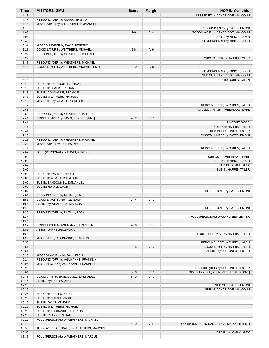| <b>Time</b>    | <b>VISITORS: SMU</b>                                                | <b>Score</b> | <b>Margin</b>   | <b>HOME: Memphis</b>                                      |
|----------------|---------------------------------------------------------------------|--------------|-----------------|-----------------------------------------------------------|
| 14:18          |                                                                     |              |                 | MISSED FT by DANDRIDGE, MALCOLM                           |
| 14:17          | REBOUND (DEF) by CLARK, TRISTAN                                     |              |                 |                                                           |
| 14:13          | MISSED 3PTR by BANDOUMEL, EMMANUEL                                  |              |                 |                                                           |
| 14:10          |                                                                     |              |                 | REBOUND (DEF) by BATES, EMONI                             |
| 14:03          |                                                                     | $2 - 6$      | V <sub>4</sub>  | GOOD! LAYUP by DANDRIDGE, MALCOLM                         |
| 14:03<br>13:48 |                                                                     |              |                 | ASSIST by MINOTT, JOSH<br>FOUL (PERSONAL) by MINOTT, JOSH |
| 13:31          | MISSED JUMPER by DAVIS, KENDRIC                                     |              |                 |                                                           |
| 13:28          | GOOD! LAYUP by WEATHERS, MICHAEL                                    | $2 - 8$      | $V_6$           |                                                           |
| 13:27          | REBOUND (OFF) by WEATHERS, MICHAEL                                  |              |                 |                                                           |
| 13:22          |                                                                     |              |                 | MISSED 3PTR by HARRIS, TYLER                              |
| 13:18          | REBOUND (DEF) by WEATHERS, MICHAEL                                  |              |                 |                                                           |
| 13:13          | GOOD! LAYUP by WEATHERS, MICHAEL [PNT]                              | $2 - 10$     | V8              |                                                           |
| 13:13          |                                                                     |              |                 | FOUL (PERSONAL) by MINOTT, JOSH                           |
| 13:13          |                                                                     |              |                 | SUB OUT: DANDRIDGE, MALCOLM                               |
| 13:13          |                                                                     |              |                 | SUB IN: DUREN, JALEN                                      |
| 13:13          | SUB OUT: BANDOUMEL, EMMANUEL                                        |              |                 |                                                           |
| 13:13<br>13:13 | SUB OUT: CLARK, TRISTAN                                             |              |                 |                                                           |
| 13:13          | SUB IN: AGUNANNE, FRANKLIN<br>SUB IN: WEATHERS, MARCUS              |              |                 |                                                           |
| 13:13          | MISSED FT by WEATHERS, MICHAEL                                      |              |                 |                                                           |
| 13:12          |                                                                     |              |                 | REBOUND (DEF) by DUREN, JALEN                             |
| 12:56          |                                                                     |              |                 | MISSED 3PTR by TIMBERLAKE, EARL                           |
| 12:53          | REBOUND (DEF) by WEATHERS, MARCUS                                   |              |                 |                                                           |
| 12:44          | GOOD! JUMPER by DAVIS, KENDRIC [PNT]                                | $2 - 12$     | $V$ 10          |                                                           |
| 12:41          |                                                                     |              |                 | TIMEOUT 30SEC                                             |
| 12:41          |                                                                     |              |                 | SUB OUT: HARRIS, TYLER                                    |
| 12:41          |                                                                     |              |                 | SUB IN: QUINONES, LESTER                                  |
| 12:28          |                                                                     |              |                 | MISSED JUMPER by BATES, EMONI                             |
| 12:23<br>12:20 | REBOUND (DEF) by WEATHERS, MICHAEL<br>MISSED 3PTR by PHELPS, ZHURIC |              |                 |                                                           |
| 12:17          |                                                                     |              |                 | REBOUND (DEF) by DUREN, JALEN                             |
| 12:09          | FOUL (PERSONAL) by DAVIS, KENDRIC                                   |              |                 |                                                           |
| 12:09          |                                                                     |              |                 | SUB OUT: TIMBERLAKE, EARL                                 |
| 12:09          |                                                                     |              |                 | SUB OUT: MINOTT, JOSH                                     |
| 12:09          |                                                                     |              |                 | SUB IN: LOMAX, ALEX                                       |
| 12:09          |                                                                     |              |                 | SUB IN: HARRIS, TYLER                                     |
| 12:09          | SUB OUT: DAVIS, KENDRIC                                             |              |                 |                                                           |
| 12:09          | SUB OUT: WEATHERS, MICHAEL                                          |              |                 |                                                           |
| 12:09          | SUB IN: BANDOUMEL, EMMANUEL                                         |              |                 |                                                           |
| 12:09          | SUB IN: NUTALL, ZACH                                                |              |                 |                                                           |
| 12:07<br>12:04 | REBOUND (DEF) by NUTALL, ZACH                                       |              |                 | MISSED 3PTR by BATES, EMONI                               |
| 11:53          | GOOD! LAYUP by NUTALL, ZACH                                         | $2 - 14$     | V <sub>12</sub> |                                                           |
| 11:53          | ASSIST by WEATHERS, MARCUS                                          |              |                 |                                                           |
| 11:33          |                                                                     |              |                 | MISSED 3PTR by BATES, EMONI                               |
| 11:30          | REBOUND (DEF) by NUTALL, ZACH                                       |              |                 |                                                           |
| 11:27          |                                                                     |              |                 | FOUL (PERSONAL) by QUINONES, LESTER                       |
| 11:27          |                                                                     |              |                 |                                                           |
| 11:02          | GOOD! LAYUP by AGUNANNE, FRANKLIN                                   | $2 - 16$     | V <sub>14</sub> |                                                           |
| 11:02          | ASSIST by PHELPS, ZHURIC                                            |              |                 |                                                           |
| 11:02          |                                                                     |              |                 | FOUL (PERSONAL) by HARRIS, TYLER                          |
| 11:02<br>10:58 | MISSED FT by AGUNANNE, FRANKLIN                                     |              |                 | REBOUND (DEF) by DUREN, JALEN                             |
| 10:51          |                                                                     | $4 - 16$     | V <sub>12</sub> | GOOD! LAYUP by HARRIS, TYLER                              |
| 10:51          |                                                                     |              |                 | ASSIST by QUINONES, LESTER                                |
| 10:28          | MISSED LAYUP by NUTALL, ZACH                                        |              |                 |                                                           |
| 10:24          | REBOUND (OFF) by AGUNANNE, FRANKLIN                                 |              |                 |                                                           |
| 10:24          | MISSED LAYUP by AGUNANNE, FRANKLIN                                  |              |                 |                                                           |
| 10:23          |                                                                     |              |                 | REBOUND (DEF) by QUINONES, LESTER                         |
| 10:04          |                                                                     | $6 - 16$     | $V$ 10          | GOOD! LAYUP by QUINONES, LESTER [PNT]                     |
| 09:46          | GOOD! 3PTR by BANDOUMEL, EMMANUEL                                   | $6 - 19$     | V <sub>13</sub> |                                                           |
| 09:46          | ASSIST by PHELPS, ZHURIC                                            |              |                 |                                                           |
| 09:26          |                                                                     |              |                 | SUB OUT: BATES, EMONI                                     |
| 09:26          |                                                                     |              |                 | SUB IN: DANDRIDGE, MALCOLM                                |
| 09:26<br>09:26 | SUB OUT: PHELPS, ZHURIC<br>SUB OUT: NUTALL, ZACH                    |              |                 |                                                           |
| 09:26          | SUB IN: DAVIS, KENDRIC                                              |              |                 |                                                           |
| 09:26          | SUB IN: WEATHERS, MICHAEL                                           |              |                 |                                                           |
| 09:26          | SUB OUT: AGUNANNE, FRANKLIN                                         |              |                 |                                                           |
| 09:26          | SUB IN: CLARK, TRISTAN                                              |              |                 |                                                           |
| 09:22          | FOUL (PERSONAL) by WEATHERS, MICHAEL                                |              |                 |                                                           |
| 09:19          |                                                                     | $8 - 19$     | $V$ 11          | GOOD! JUMPER by DANDRIDGE, MALCOLM [PNT]                  |
| 08:53          | TURNOVER (LOSTBALL) by WEATHERS, MARCUS                             |              |                 |                                                           |
| 08:53          |                                                                     |              |                 | STEAL by LOMAX, ALEX                                      |
| 08:33          | FOUL (PERSONAL) by WEATHERS, MARCUS                                 |              |                 |                                                           |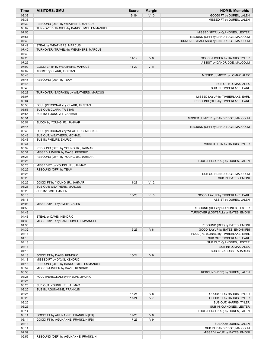| Time           | <b>VISITORS: SMU</b>                                                  | <b>Score</b> | <b>Margin</b>   | <b>HOME: Memphis</b>                                                   |
|----------------|-----------------------------------------------------------------------|--------------|-----------------|------------------------------------------------------------------------|
| 08:33          |                                                                       | $9 - 19$     | $V$ 10          | GOOD! FT by DUREN, JALEN                                               |
| 08:33          |                                                                       |              |                 | MISSED FT by DUREN, JALEN                                              |
| 08:32          | REBOUND (DEF) by WEATHERS, MARCUS                                     |              |                 |                                                                        |
| 08:09          | TURNOVER (TRAVEL) by BANDOUMEL, EMMANUEL                              |              |                 |                                                                        |
| 07:55<br>07:51 |                                                                       |              |                 | MISSED 3PTR by QUINONES, LESTER<br>REBOUND (OFF) by DANDRIDGE, MALCOLM |
| 07:49          |                                                                       |              |                 | TURNOVER (BADPASS) by DANDRIDGE, MALCOLM                               |
| 07:49          | STEAL by WEATHERS, MARCUS                                             |              |                 |                                                                        |
| 07:40          | TURNOVER (TRAVEL) by WEATHERS, MARCUS                                 |              |                 |                                                                        |
| 07:40          |                                                                       |              |                 |                                                                        |
| 07:26          |                                                                       | $11 - 19$    | V8              | GOOD! JUMPER by HARRIS, TYLER                                          |
| 07:26          |                                                                       |              |                 | ASSIST by DANDRIDGE, MALCOLM                                           |
| 07:02          | GOOD! 3PTR by WEATHERS, MARCUS                                        | $11 - 22$    | $V$ 11          |                                                                        |
| 07:02<br>06:48 | ASSIST by CLARK, TRISTAN                                              |              |                 |                                                                        |
| 06:46          | REBOUND (DEF) by TEAM                                                 |              |                 | MISSED JUMPER by LOMAX, ALEX                                           |
| 06:46          |                                                                       |              |                 | SUB OUT: LOMAX, ALEX                                                   |
| 06:46          |                                                                       |              |                 | SUB IN: TIMBERLAKE, EARL                                               |
| 06:28          | TURNOVER (BADPASS) by WEATHERS, MARCUS                                |              |                 |                                                                        |
| 06:07          |                                                                       |              |                 | MISSED LAYUP by TIMBERLAKE, EARL                                       |
| 06:04          |                                                                       |              |                 | REBOUND (OFF) by TIMBERLAKE, EARL                                      |
| 05:56          | FOUL (PERSONAL) by CLARK, TRISTAN                                     |              |                 |                                                                        |
| 05:56          | SUB OUT: CLARK, TRISTAN<br>SUB IN: YOUNG JR., JAHMAR                  |              |                 |                                                                        |
| 05:56<br>05:51 |                                                                       |              |                 | MISSED JUMPER by DANDRIDGE, MALCOLM                                    |
| 05:51          | BLOCK by YOUNG JR., JAHMAR                                            |              |                 |                                                                        |
| 05:45          |                                                                       |              |                 | REBOUND (OFF) by DANDRIDGE, MALCOLM                                    |
| 05:43          | FOUL (PERSONAL) by WEATHERS, MICHAEL                                  |              |                 |                                                                        |
| 05:43          | SUB OUT: WEATHERS, MICHAEL                                            |              |                 |                                                                        |
| 05:43          | SUB IN: PHELPS, ZHURIC                                                |              |                 |                                                                        |
| 05:41          |                                                                       |              |                 | MISSED 3PTR by HARRIS, TYLER                                           |
| 05:39          | REBOUND (DEF) by YOUNG JR., JAHMAR                                    |              |                 |                                                                        |
| 05:31<br>05:28 | MISSED JUMPER by DAVIS, KENDRIC<br>REBOUND (OFF) by YOUNG JR., JAHMAR |              |                 |                                                                        |
| 05:26          |                                                                       |              |                 | FOUL (PERSONAL) by DUREN, JALEN                                        |
| 05:26          | MISSED FT by YOUNG JR., JAHMAR                                        |              |                 |                                                                        |
| 05:26          | REBOUND (OFF) by TEAM                                                 |              |                 |                                                                        |
| 05:26          |                                                                       |              |                 | SUB OUT: DANDRIDGE, MALCOLM                                            |
| 05:26          |                                                                       |              |                 | SUB IN: BATES, EMONI                                                   |
| 05:26          | GOOD! FT by YOUNG JR., JAHMAR                                         | $11 - 23$    | V <sub>12</sub> |                                                                        |
| 05:26<br>05:26 | SUB OUT: WEATHERS, MARCUS                                             |              |                 |                                                                        |
| 05:15          | SUB IN: SMITH, JALEN                                                  | $13 - 23$    | $V$ 10          | GOOD! LAYUP by TIMBERLAKE, EARL                                        |
| 05:15          |                                                                       |              |                 | ASSIST by DUREN, JALEN                                                 |
| 05:03          | MISSED 3PTR by SMITH, JALEN                                           |              |                 |                                                                        |
| 04:59          |                                                                       |              |                 | REBOUND (DEF) by QUINONES, LESTER                                      |
| 04:43          |                                                                       |              |                 | TURNOVER (LOSTBALL) by BATES, EMONI                                    |
| 04:43          | STEAL by DAVIS, KENDRIC                                               |              |                 |                                                                        |
| 04:38          | MISSED 3PTR by BANDOUMEL, EMMANUEL                                    |              |                 |                                                                        |
| 04:35<br>04:32 |                                                                       | $15 - 23$    | V8              | REBOUND (DEF) by BATES, EMONI<br>GOOD! LAYUP by BATES, EMONI [FB]      |
| 04:18          |                                                                       |              |                 | FOUL (PERSONAL) by TIMBERLAKE, EARL                                    |
| 04:18          |                                                                       |              |                 | SUB OUT: TIMBERLAKE, EARL                                              |
| 04:18          |                                                                       |              |                 | SUB OUT: QUINONES, LESTER                                              |
| 04:18          |                                                                       |              |                 | SUB IN: LOMAX, ALEX                                                    |
| 04:18          |                                                                       |              |                 | SUB IN: JACOBS, TADARIUS                                               |
| 04:18          | GOOD! FT by DAVIS, KENDRIC                                            | $15 - 24$    | V <sub>9</sub>  |                                                                        |
| 04:18<br>04:16 | MISSED FT by DAVIS, KENDRIC<br>REBOUND (OFF) by BANDOUMEL, EMMANUEL   |              |                 |                                                                        |
| 03:57          | MISSED JUMPER by DAVIS, KENDRIC                                       |              |                 |                                                                        |
| 03:53          |                                                                       |              |                 | REBOUND (DEF) by DUREN, JALEN                                          |
| 03:25          | FOUL (PERSONAL) by PHELPS, ZHURIC                                     |              |                 |                                                                        |
| 03:25          |                                                                       |              |                 |                                                                        |
| 03:25          | SUB OUT: YOUNG JR., JAHMAR                                            |              |                 |                                                                        |
| 03:25          | SUB IN: AGUNANNE, FRANKLIN                                            |              |                 |                                                                        |
| 03:25          |                                                                       | 16-24        | V8              | GOOD! FT by HARRIS, TYLER                                              |
| 03:25<br>03:25 |                                                                       | $17 - 24$    | V <sub>7</sub>  | GOOD! FT by HARRIS, TYLER<br>SUB OUT: HARRIS, TYLER                    |
| 03:25          |                                                                       |              |                 | SUB IN: QUINONES, LESTER                                               |
| 03:14          |                                                                       |              |                 | FOUL (PERSONAL) by DUREN, JALEN                                        |
| 03:14          | GOOD! FT by AGUNANNE, FRANKLIN [FB]                                   | $17 - 25$    | V8              |                                                                        |
| 03:14          | GOOD! FT by AGUNANNE, FRANKLIN [FB]                                   | 17-26        | V <sub>9</sub>  |                                                                        |
| 03:14          |                                                                       |              |                 | SUB OUT: DUREN, JALEN                                                  |
| 03:14          |                                                                       |              |                 | SUB IN: DANDRIDGE, MALCOLM                                             |
| 02:59          |                                                                       |              |                 | MISSED LAYUP by BATES, EMONI                                           |
| 02:56          | REBOUND (DEF) by AGUNANNE, FRANKLIN                                   |              |                 |                                                                        |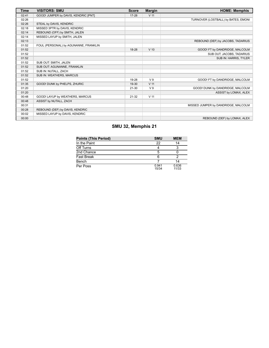| Time  | <b>VISITORS: SMU</b>                  | <b>Score</b> | <b>Margin</b>   | <b>HOME: Memphis</b>                |
|-------|---------------------------------------|--------------|-----------------|-------------------------------------|
| 02:41 | GOOD! JUMPER by DAVIS, KENDRIC [PNT]  | $17 - 28$    | V <sub>11</sub> |                                     |
| 02:26 |                                       |              |                 | TURNOVER (LOSTBALL) by BATES, EMONI |
| 02:26 | STEAL by DAVIS, KENDRIC               |              |                 |                                     |
| 02:18 | MISSED 3PTR by DAVIS, KENDRIC         |              |                 |                                     |
| 02:14 | REBOUND (OFF) by SMITH, JALEN         |              |                 |                                     |
| 02:14 | MISSED LAYUP by SMITH, JALEN          |              |                 |                                     |
| 02:13 |                                       |              |                 | REBOUND (DEF) by JACOBS, TADARIUS   |
| 01:52 | FOUL (PERSONAL) by AGUNANNE, FRANKLIN |              |                 |                                     |
| 01:52 |                                       | 18-28        | $V$ 10          | GOOD! FT by DANDRIDGE, MALCOLM      |
| 01:52 |                                       |              |                 | SUB OUT: JACOBS, TADARIUS           |
| 01:52 |                                       |              |                 | SUB IN: HARRIS, TYLER               |
| 01:52 | SUB OUT: SMITH, JALEN                 |              |                 |                                     |
| 01:52 | SUB OUT: AGUNANNE, FRANKLIN           |              |                 |                                     |
| 01:52 | SUB IN: NUTALL, ZACH                  |              |                 |                                     |
| 01:52 | SUB IN: WEATHERS, MARCUS              |              |                 |                                     |
| 01:52 |                                       | 19-28        | V <sub>9</sub>  | GOOD! FT by DANDRIDGE, MALCOLM      |
| 01:35 | GOOD! DUNK by PHELPS, ZHURIC          | 19-30        | V <sub>11</sub> |                                     |
| 01:20 |                                       | $21 - 30$    | V <sub>9</sub>  | GOOD! DUNK by DANDRIDGE, MALCOLM    |
| 01:20 |                                       |              |                 | ASSIST by LOMAX, ALEX               |
| 00:48 | GOOD! LAYUP by WEATHERS, MARCUS       | $21 - 32$    | V <sub>11</sub> |                                     |
| 00:48 | ASSIST by NUTALL, ZACH                |              |                 |                                     |
| 00:31 |                                       |              |                 | MISSED JUMPER by DANDRIDGE, MALCOLM |
| 00:28 | REBOUND (DEF) by DAVIS, KENDRIC       |              |                 |                                     |
| 00:02 | MISSED LAYUP by DAVIS, KENDRIC        |              |                 |                                     |
| 00:00 |                                       |              |                 | REBOUND (DEF) by LOMAX, ALEX        |

# **SMU 32, Memphis 21**

| <b>Points (This Period)</b> | <b>SMU</b>     | <b>MEM</b>     |
|-----------------------------|----------------|----------------|
| In the Paint                | 22             | 14             |
| Off Turns                   |                |                |
| 2nd Chance                  | 5              |                |
| <b>Fast Break</b>           |                |                |
| Bench                       |                | 14             |
| Per Poss                    | 0.941<br>15/34 | 0.636<br>11/33 |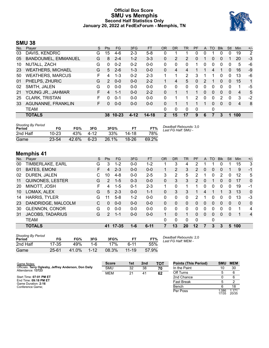### **Official Box Score SMU vs Memphis Second Half Statistics Only January 20, 2022 at FedExForum - Memphis, TN**



## **SMU 38**

| No. | Player                   | S  | <b>Pts</b> | FG.       | 3FG      | <b>FT</b> | <b>OR</b>    | <b>DR</b> | <b>TR</b>      | PF            | A        | TO       | <b>Blk</b>   | Stl          | Min            | $+/-$ |
|-----|--------------------------|----|------------|-----------|----------|-----------|--------------|-----------|----------------|---------------|----------|----------|--------------|--------------|----------------|-------|
| 03  | DAVIS, KENDRIC           | G  | 15         | $4-6$     | 2-3      | $5-8$     | 0            |           |                | 0             | 0        |          |              | 0            | 19             | 2     |
| 05  | BANDOUMEL, EMMANUEL      | G  | 8          | $2 - 4$   | $1 - 2$  | $3 - 3$   | 0            | 2         | $\overline{2}$ | 0             |          | 0        | 0            |              | 20             | $-3$  |
| 10  | NUTALL, ZACH             | G  | $\Omega$   | $0 - 2$   | $0 - 2$  | $0 - 0$   | 0            | 0         | 0              |               | 0        | 0        | 0            | 0            | 5              | -6    |
| 23  | <b>WEATHERS, MICHAEL</b> | G  | 5          | $2 - 6$   | $1 - 3$  | $0 - 0$   | 0            | 4         | 4              |               |          | 4        |              | 0            | 16             | -9    |
| 50  | <b>WEATHERS, MARCUS</b>  | F  | 4          | $1 - 3$   | $0 - 2$  | $2 - 3$   |              | 1         | 2              | 3             |          |          | 0            | 0            | 13             | -6    |
| 01  | PHELPS, ZHURIC           | G  | 2          | $0 - 0$   | $0 - 0$  | $2 - 2$   |              | 4         | 5              | 0             | 2        |          | $\mathbf{0}$ | $\mathbf{0}$ | 15             | 1     |
| 02  | SMITH, JALEN             | G  | 0          | $0 - 0$   | $0 - 0$  | $0 - 0$   | 0            | 0         | 0              | 0             | 0        | 0        | 0            | 0            | 1              | -5    |
| 21  | YOUNG JR., JAHMAR        | F. | 4          | $1 - 1$   | $0 - 0$  | $2 - 2$   | 0            | 1         | 1              | 1             | 0        | $\Omega$ | $\Omega$     | $\Omega$     | $\overline{4}$ | 5     |
| 25  | <b>CLARK, TRISTAN</b>    | F  | 0          | $0 - 1$   | $0 - 0$  | $0 - 0$   | 0            | 1         |                | $\mathcal{P}$ | $\Omega$ | 0        | 2            | 0            | 3              | $-2$  |
| 33  | AGUNANNE, FRANKLIN       | F. | $\Omega$   | $0 - 0$   | $0 - 0$  | $0 - 0$   | 0            | 1         |                |               |          | 0        | $\Omega$     | $\Omega$     | $\overline{4}$ | 8     |
|     | <b>TEAM</b>              |    |            |           |          |           | 0            | 0         | 0              | 0             |          | 0        |              |              |                |       |
|     | <b>TOTALS</b>            |    | 38         | $10 - 23$ | $4 - 12$ | 14-18     | $\mathbf{2}$ | 15        | 17             | 9             | 6        |          | 3            | 1            | 100            |       |
|     |                          |    |            |           |          |           |              |           |                |               |          |          |              |              |                |       |

| <b>Shooting By Period</b><br>Period | FG        | FG%   | 3FG      | 3FG%     |           | FT%   | Deadball Rebounds: 3,0<br>Last FG Half: SMU - |
|-------------------------------------|-----------|-------|----------|----------|-----------|-------|-----------------------------------------------|
| 2nd Half                            | $10 - 23$ | 43%   | 4-12     | 33%      | 14-18     | 78%   |                                               |
| Game                                | $23 - 54$ | 42.6% | $6 - 23$ | $26.1\%$ | $18 - 26$ | 69.2% |                                               |

# **Memphis 41**

| No. | Plaver                  | S  | <b>Pts</b>    | FG        | 3FG     | <b>FT</b> | <b>OR</b> | <b>DR</b> | TR           | PF             | A        | TO | <b>B</b> lk  | Stl      | Min | $+/-$          |
|-----|-------------------------|----|---------------|-----------|---------|-----------|-----------|-----------|--------------|----------------|----------|----|--------------|----------|-----|----------------|
| 00  | TIMBERLAKE, EARL        | G  | 3             | $1 - 2$   | $0-0$   | $1-2$     |           | 3         | 4            | 2              |          |    | 0            |          | 15  | 3              |
| 01  | <b>BATES, EMONI</b>     | F  | 4             | $2 - 3$   | $0 - 0$ | $0 - 0$   |           | 2         | 3            | 2              | 0        | 0  | $\mathbf{0}$ |          | 9   | $-1$           |
| 02  | DUREN, JALEN            | С  | 10            | $4 - 8$   | $0 - 0$ | $2 - 5$   | 3         | 2         | 5            | 2              | 1        | 0  | 2            | 0        | 12  | 5              |
| 11  | <b>QUINONES, LESTER</b> | G  | $\mathcal{P}$ | $1 - 5$   | $0 - 3$ | $0 - 0$   | 0         | 3         | 3            | $\mathcal{P}$  | 0        | 1  | $\mathbf{0}$ | $\Omega$ | 17  | $\mathbf{0}$   |
| 20  | MINOTT, JOSH            | F. | 4             | $1 - 5$   | $0 - 1$ | $2 - 3$   | 1.        | $\Omega$  |              |                | 0        | 0  | $\Omega$     | 0        | 19  | $-1$           |
| 10  | LOMAX, ALEX             | G  | 5             | $2 - 3$   | $0 - 0$ | $1 - 1$   | $\Omega$  | 3         | 3            |                | 4        |    |              | 3        | 13  | $\mathbf{0}$   |
| 14  | <b>HARRIS, TYLER</b>    | G  | 11            | $5 - 8$   | $1 - 2$ | $0 - 0$   | 0         | 0         | $\Omega$     | 2              | 1        | 0  | 0            | 0        | 13  | -3             |
| 23  | DANDRIDGE, MALCOLM      | С  | $\mathbf{0}$  | $0 - 0$   | $0 - 0$ | $0 - 0$   | 0         | 0         | $\mathbf{0}$ | $\overline{0}$ | 0        | 0  | 0            | 0        | 0   | $\mathbf{0}$   |
| 30  | <b>GLENNON, CONOR</b>   | G  | $\Omega$      | $0 - 0$   | $0 - 0$ | $0 - 0$   | 0         | $\Omega$  | $\Omega$     | 0              | 0        | 0  | 0            | 0        | 1   | 4              |
| 31  | <b>JACOBS, TADARIUS</b> | G  | 2             | $1 - 1$   | $0 - 0$ | $0 - 0$   | 1.        | 0         |              | 0              | $\Omega$ | 0  | $\Omega$     | 0        |     | $\overline{4}$ |
|     | <b>TEAM</b>             |    |               |           |         |           | 0         | 0         | $\Omega$     | $\Omega$       |          | 0  |              |          |     |                |
|     | <b>TOTALS</b>           |    | 41            | $17 - 35$ | $1 - 6$ | $6 - 11$  | 7         | 13        | 20           | $12 \,$        |          | 3  | 3            | 5        | 100 |                |

| <b>Shooting By Period</b><br>Period | FG        | FG%   | 3FG      | 3FG%  |           | FT%   |
|-------------------------------------|-----------|-------|----------|-------|-----------|-------|
| 2nd Half                            | 17-35     | 49%   | 1-6      | 17%   | հ 11      | 55%   |
| Game                                | $25 - 61$ | 41.0% | $1 - 12$ | 08.3% | $11 - 19$ | 57.9% |

*Deadball Rebounds:* 2,0 *Last FG Half:* MEM -

| Game Notes:                                                                | <b>Score</b> | 1st | 2 <sub>nd</sub> | тот | <b>Points (This Period)</b> | <b>SMU</b>     | <b>MEM</b>     |
|----------------------------------------------------------------------------|--------------|-----|-----------------|-----|-----------------------------|----------------|----------------|
| Officials: Terry Oglesby, Jeffrey Anderson, Don Daily<br>Attendance: 13723 | <b>SMU</b>   | 32  | 38              | 70  | In the Paint                |                | 30             |
|                                                                            | <b>MEM</b>   | 21  | -41             | 62  | Off Turns                   |                |                |
| Start Time: 07:01 PM ET                                                    |              |     |                 |     | 2nd Chance                  |                |                |
| End Time: 09:18 PM ET<br>Game Duration: 2:16                               |              |     |                 |     | <b>Fast Break</b>           |                |                |
| Conference Game:                                                           |              |     |                 |     | Bench                       |                | 18             |
|                                                                            |              |     |                 |     | Per Poss                    | 1.086<br>17/35 | 1.171<br>20/35 |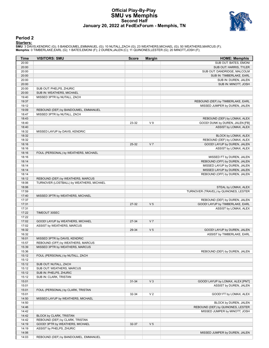#### **Official Play-By-Play SMU vs Memphis Second Half January 20, 2022 at FedExForum - Memphis, TN**



#### **Period 2**

<mark>Starters:</mark><br>SMU: 3 DAVIS,KENDRIC (G); 5 BANDOUMEL,EMMANUEL (G); 10 NUTALL,ZACH (G); 23 WEATHERS,MICHAEL (G); 50 WEATHERS,MARCUS (F);<br>**Memphis**: 0 TIMBERLAKE,EARL (G); 1 BATES,EMONI (F); 2 DUREN,JALEN (C); 11 QUINONES,LESTE

| Time           | <b>VISITORS: SMU</b>                     | <b>Score</b> | <b>Margin</b>  | <b>HOME: Memphis</b>                  |
|----------------|------------------------------------------|--------------|----------------|---------------------------------------|
| 20:00          |                                          |              |                | SUB OUT: BATES, EMONI                 |
| 20:00          |                                          |              |                | SUB OUT: HARRIS, TYLER                |
| 20:00          |                                          |              |                | SUB OUT: DANDRIDGE, MALCOLM           |
| 20:00          |                                          |              |                | SUB IN: TIMBERLAKE, EARL              |
| 20:00          |                                          |              |                | SUB IN: DUREN, JALEN                  |
| 20:00          |                                          |              |                | SUB IN: MINOTT, JOSH                  |
| 20:00          | SUB OUT: PHELPS, ZHURIC                  |              |                |                                       |
| 20:00          | SUB IN: WEATHERS, MICHAEL                |              |                |                                       |
| 19:40          | MISSED 3PTR by NUTALL, ZACH              |              |                |                                       |
| 19:37<br>19:12 |                                          |              |                | REBOUND (DEF) by TIMBERLAKE, EARL     |
| 19:09          | REBOUND (DEF) by BANDOUMEL, EMMANUEL     |              |                | MISSED JUMPER by DUREN, JALEN         |
| 18:47          | MISSED 3PTR by NUTALL, ZACH              |              |                |                                       |
| 18:43          |                                          |              |                | REBOUND (DEF) by LOMAX, ALEX          |
| 18:40          |                                          | 23-32        | V <sub>9</sub> | GOOD! DUNK by DUREN, JALEN [FB]       |
| 18:40          |                                          |              |                | ASSIST by LOMAX, ALEX                 |
| 18:32          | MISSED LAYUP by DAVIS, KENDRIC           |              |                |                                       |
| 18:32          |                                          |              |                | BLOCK by LOMAX, ALEX                  |
| 18:32          |                                          |              |                | REBOUND (DEF) by LOMAX, ALEX          |
| 18:16          |                                          | 25-32        | V <sub>7</sub> | GOOD! LAYUP by DUREN, JALEN           |
| 18:16          |                                          |              |                | ASSIST by LOMAX, ALEX                 |
| 18:16          | FOUL (PERSONAL) by WEATHERS, MICHAEL     |              |                |                                       |
| 18:16          |                                          |              |                | MISSED FT by DUREN, JALEN             |
| 18:14          |                                          |              |                | REBOUND (OFF) by DUREN, JALEN         |
| 18:14          |                                          |              |                | MISSED LAYUP by DUREN, JALEN          |
| 18:14          |                                          |              |                | MISSED LAYUP by DUREN, JALEN          |
| 18:14          |                                          |              |                | REBOUND (OFF) by DUREN, JALEN         |
| 18:12          | REBOUND (DEF) by WEATHERS, MARCUS        |              |                |                                       |
| 18:06          | TURNOVER (LOSTBALL) by WEATHERS, MICHAEL |              |                |                                       |
| 18:06          |                                          |              |                | STEAL by LOMAX, ALEX                  |
| 17:59<br>17:40 |                                          |              |                | TURNOVER (TRAVEL) by QUINONES, LESTER |
| 17:37          | MISSED 3PTR by WEATHERS, MICHAEL         |              |                | REBOUND (DEF) by DUREN, JALEN         |
| 17:31          |                                          | 27-32        | V <sub>5</sub> | GOOD! LAYUP by TIMBERLAKE, EARL       |
| 17:31          |                                          |              |                | ASSIST by LOMAX, ALEX                 |
| 17:22          | TIMEOUT 30SEC                            |              |                |                                       |
| 17:22          |                                          |              |                |                                       |
| 17:02          | GOOD! LAYUP by WEATHERS, MICHAEL         | 27-34        | V <sub>7</sub> |                                       |
| 17:02          | ASSIST by WEATHERS, MARCUS               |              |                |                                       |
| 16:32          |                                          | 29-34        | V <sub>5</sub> | GOOD! LAYUP by DUREN, JALEN           |
| 16:32          |                                          |              |                | ASSIST by TIMBERLAKE, EARL            |
| 16:01          | MISSED 3PTR by DAVIS, KENDRIC            |              |                |                                       |
| 15:57          | REBOUND (OFF) by WEATHERS, MARCUS        |              |                |                                       |
| 15:39          | MISSED 3PTR by WEATHERS, MARCUS          |              |                |                                       |
| 15:36          |                                          |              |                | REBOUND (DEF) by DUREN, JALEN         |
| 15:12          | FOUL (PERSONAL) by NUTALL, ZACH          |              |                |                                       |
| 15:12          |                                          |              |                |                                       |
| 15:12          | SUB OUT: NUTALL, ZACH                    |              |                |                                       |
| 15:12          | SUB OUT: WEATHERS, MARCUS                |              |                |                                       |
| 15:12          | SUB IN: PHELPS, ZHURIC                   |              |                |                                       |
| 15:12          | SUB IN: CLARK, TRISTAN                   |              |                |                                       |
| 15:01          |                                          | $31 - 34$    | $V_3$          | GOOD! LAYUP by LOMAX, ALEX [PNT]      |
| 15:01<br>15:01 | FOUL (PERSONAL) by CLARK, TRISTAN        |              |                | ASSIST by DUREN, JALEN                |
|                |                                          |              | V <sub>2</sub> | GOOD! FT by LOMAX, ALEX               |
| 15:01<br>14:50 | MISSED LAYUP by WEATHERS, MICHAEL        | 32-34        |                |                                       |
| 14:50          |                                          |              |                | BLOCK by DUREN, JALEN                 |
| 14:46          |                                          |              |                | REBOUND (DEF) by QUINONES, LESTER     |
| 14:42          |                                          |              |                | MISSED JUMPER by MINOTT, JOSH         |
| 14:42          | BLOCK by CLARK, TRISTAN                  |              |                |                                       |
| 14:42          | REBOUND (DEF) by CLARK, TRISTAN          |              |                |                                       |
| 14:19          | GOOD! 3PTR by WEATHERS, MICHAEL          | 32-37        | V <sub>5</sub> |                                       |
| 14:19          | ASSIST by PHELPS, ZHURIC                 |              |                |                                       |
| 14:06          |                                          |              |                | MISSED JUMPER by DUREN, JALEN         |
| 14:03          | REBOUND (DEF) by BANDOUMEL, EMMANUEL     |              |                |                                       |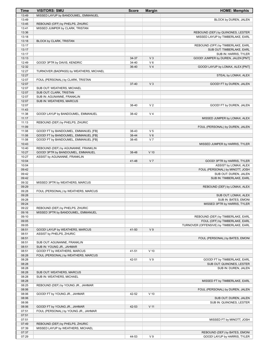| Time           | <b>VISITORS: SMU</b>                                                  | <b>Score</b> | <b>Margin</b>  | <b>HOME: Memphis</b>                                          |
|----------------|-----------------------------------------------------------------------|--------------|----------------|---------------------------------------------------------------|
| 13:49          | MISSED LAYUP by BANDOUMEL, EMMANUEL                                   |              |                |                                                               |
| 13:49          |                                                                       |              |                | BLOCK by DUREN, JALEN                                         |
| 13:45          | REBOUND (OFF) by PHELPS, ZHURIC                                       |              |                |                                                               |
| 13:41          | MISSED JUMPER by CLARK, TRISTAN                                       |              |                |                                                               |
| 13:36          |                                                                       |              |                | REBOUND (DEF) by QUINONES, LESTER                             |
| 13:18          |                                                                       |              |                | MISSED LAYUP by TIMBERLAKE, EARL                              |
| 13:18<br>13:17 | BLOCK by CLARK, TRISTAN                                               |              |                | REBOUND (OFF) by TIMBERLAKE, EARL                             |
| 13:17          |                                                                       |              |                | SUB OUT: TIMBERLAKE, EARL                                     |
| 13:17          |                                                                       |              |                | SUB IN: HARRIS, TYLER                                         |
| 13:13          |                                                                       | 34-37        | V <sub>3</sub> | GOOD! JUMPER by DUREN, JALEN [PNT]                            |
| 12:49          | GOOD! 3PTR by DAVIS, KENDRIC                                          | 34-40        | $V_6$          |                                                               |
| 12:32          |                                                                       | 36-40        | V <sub>4</sub> | GOOD! LAYUP by LOMAX, ALEX [PNT]                              |
| 12:27          | TURNOVER (BADPASS) by WEATHERS, MICHAEL                               |              |                |                                                               |
| 12:27          |                                                                       |              |                | STEAL by LOMAX, ALEX                                          |
| 12:07          | FOUL (PERSONAL) by CLARK, TRISTAN                                     |              |                |                                                               |
| 12:07          |                                                                       | $37 - 40$    | $V_3$          | GOOD! FT by DUREN, JALEN                                      |
| 12:07          | SUB OUT: WEATHERS, MICHAEL                                            |              |                |                                                               |
| 12:07<br>12:07 | SUB OUT: CLARK, TRISTAN<br>SUB IN: AGUNANNE, FRANKLIN                 |              |                |                                                               |
| 12:07          | SUB IN: WEATHERS, MARCUS                                              |              |                |                                                               |
| 12:07          |                                                                       | 38-40        | V <sub>2</sub> | GOOD! FT by DUREN, JALEN                                      |
| 11:43          |                                                                       |              |                |                                                               |
| 11:38          | GOOD! LAYUP by BANDOUMEL, EMMANUEL                                    | 38-42        | V <sub>4</sub> |                                                               |
| 11:17          |                                                                       |              |                | MISSED JUMPER by LOMAX, ALEX                                  |
| 11:13          | REBOUND (DEF) by PHELPS, ZHURIC                                       |              |                |                                                               |
| 11:09          |                                                                       |              |                | FOUL (PERSONAL) by DUREN, JALEN                               |
| 11:08          | GOOD! FT by BANDOUMEL, EMMANUEL [FB]                                  | 38-43        | V <sub>5</sub> |                                                               |
| 11:08          | GOOD! FT by BANDOUMEL, EMMANUEL [FB]                                  | 38-44        | $V_6$          |                                                               |
| 11:08          | GOOD! FT by BANDOUMEL, EMMANUEL [FB]                                  | 38-45        | V <sub>7</sub> |                                                               |
| 10:43          |                                                                       |              |                | MISSED JUMPER by HARRIS, TYLER                                |
| 10:40          | REBOUND (DEF) by AGUNANNE, FRANKLIN                                   |              |                |                                                               |
| 10:27<br>10:27 | GOOD! 3PTR by BANDOUMEL, EMMANUEL<br>ASSIST by AGUNANNE, FRANKLIN     | 38-48        | $V$ 10         |                                                               |
| 10:04          |                                                                       | 41-48        | V <sub>7</sub> | GOOD! 3PTR by HARRIS, TYLER                                   |
| 10:04          |                                                                       |              |                | ASSIST by LOMAX, ALEX                                         |
| 09:42          |                                                                       |              |                | FOUL (PERSONAL) by MINOTT, JOSH                               |
| 09:42          |                                                                       |              |                | SUB OUT: DUREN, JALEN                                         |
| 09:42          |                                                                       |              |                | SUB IN: TIMBERLAKE, EARL                                      |
| 09:32          | MISSED 3PTR by WEATHERS, MARCUS                                       |              |                |                                                               |
| 09:29          |                                                                       |              |                | REBOUND (DEF) by LOMAX, ALEX                                  |
| 09:28          | FOUL (PERSONAL) by WEATHERS, MARCUS                                   |              |                |                                                               |
| 09:28          |                                                                       |              |                | SUB OUT: LOMAX, ALEX                                          |
| 09:28          |                                                                       |              |                | SUB IN: BATES, EMONI                                          |
| 09:24          |                                                                       |              |                | MISSED 3PTR by HARRIS, TYLER                                  |
| 09:22<br>09:16 | REBOUND (DEF) by PHELPS, ZHURIC<br>MISSED 3PTR by BANDOUMEL, EMMANUEL |              |                |                                                               |
| 09:10          |                                                                       |              |                | REBOUND (DEF) by TIMBERLAKE, EARL                             |
| 09:05          |                                                                       |              |                | FOUL (OFF) by TIMBERLAKE, EARL                                |
| 09:05          |                                                                       |              |                | TURNOVER (OFFENSIVE) by TIMBERLAKE, EARL                      |
| 08:51          | GOOD! LAYUP by WEATHERS, MARCUS                                       | 41-50        | V <sub>9</sub> |                                                               |
| 08:51          | ASSIST by PHELPS, ZHURIC                                              |              |                |                                                               |
| 08:51          |                                                                       |              |                | FOUL (PERSONAL) by BATES, EMONI                               |
| 08:51          | SUB OUT: AGUNANNE, FRANKLIN                                           |              |                |                                                               |
| 08:51          | SUB IN: YOUNG JR., JAHMAR                                             |              |                |                                                               |
| 08:51          | GOOD! FT by WEATHERS, MARCUS                                          | 41-51        | $V$ 10         |                                                               |
| 08:28          | FOUL (PERSONAL) by WEATHERS, MARCUS                                   |              |                |                                                               |
| 08:28          |                                                                       | 42-51        | V <sub>9</sub> | GOOD! FT by TIMBERLAKE, EARL                                  |
| 08:28          |                                                                       |              |                | SUB OUT: QUINONES, LESTER                                     |
| 08:28          |                                                                       |              |                | SUB IN: DUREN, JALEN                                          |
| 08:28<br>08:28 | SUB OUT: WEATHERS, MARCUS<br>SUB IN: WEATHERS, MICHAEL                |              |                |                                                               |
| 08:28          |                                                                       |              |                | MISSED FT by TIMBERLAKE, EARL                                 |
| 08:25          | REBOUND (DEF) by YOUNG JR., JAHMAR                                    |              |                |                                                               |
| 08:06          |                                                                       |              |                | FOUL (PERSONAL) by DUREN, JALEN                               |
| 08:06          | GOOD! FT by YOUNG JR., JAHMAR                                         | 42-52        | $V$ 10         |                                                               |
| 08:06          |                                                                       |              |                | SUB OUT: DUREN, JALEN                                         |
| 08:06          |                                                                       |              |                | SUB IN: QUINONES, LESTER                                      |
| 08:06          | GOOD! FT by YOUNG JR., JAHMAR                                         | 42-53        | $V$ 11         |                                                               |
| 07:51          | FOUL (PERSONAL) by YOUNG JR., JAHMAR                                  |              |                |                                                               |
| 07:51          |                                                                       |              |                |                                                               |
| 07:51          |                                                                       |              |                | MISSED FT by MINOTT, JOSH                                     |
| 07:49          | REBOUND (DEF) by PHELPS, ZHURIC                                       |              |                |                                                               |
| 07:39          | MISSED LAYUP by WEATHERS, MICHAEL                                     |              |                |                                                               |
| 07:37<br>07:29 |                                                                       | 44-53        | V <sub>9</sub> | REBOUND (DEF) by BATES, EMONI<br>GOOD! LAYUP by HARRIS, TYLER |
|                |                                                                       |              |                |                                                               |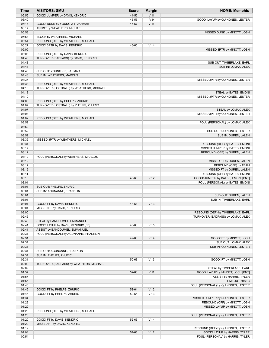| <b>Time</b>    | <b>VISITORS: SMU</b>                                               | <b>Score</b> | <b>Margin</b>   | <b>HOME: Memphis</b>                                     |
|----------------|--------------------------------------------------------------------|--------------|-----------------|----------------------------------------------------------|
| 06:56          | GOOD! JUMPER by DAVIS, KENDRIC                                     | 44-55        | $V$ 11          |                                                          |
| 06:40          |                                                                    | 46-55        | V <sub>9</sub>  | GOOD! LAYUP by QUINONES, LESTER                          |
| 06:17          | GOOD! DUNK by YOUNG JR., JAHMAR                                    | 46-57        | $V$ 11          |                                                          |
| 06:17          | ASSIST by WEATHERS, MICHAEL                                        |              |                 |                                                          |
| 05:58<br>05:58 | BLOCK by WEATHERS, MICHAEL                                         |              |                 | MISSED DUNK by MINOTT, JOSH                              |
| 05:54          | REBOUND (DEF) by WEATHERS, MICHAEL                                 |              |                 |                                                          |
| 05:27          | GOOD! 3PTR by DAVIS, KENDRIC                                       | 46-60        | V <sub>14</sub> |                                                          |
| 05:09          |                                                                    |              |                 | MISSED 3PTR by MINOTT, JOSH                              |
| 05:06          | REBOUND (DEF) by DAVIS, KENDRIC                                    |              |                 |                                                          |
| 04:43          | TURNOVER (BADPASS) by DAVIS, KENDRIC                               |              |                 |                                                          |
| 04:43<br>04:43 |                                                                    |              |                 | SUB OUT: TIMBERLAKE, EARL<br>SUB IN: LOMAX, ALEX         |
| 04:43          | SUB OUT: YOUNG JR., JAHMAR                                         |              |                 |                                                          |
| 04:43          | SUB IN: WEATHERS, MARCUS                                           |              |                 |                                                          |
| 04:37          |                                                                    |              |                 | MISSED 3PTR by QUINONES, LESTER                          |
| 04:33          | REBOUND (DEF) by WEATHERS, MICHAEL                                 |              |                 |                                                          |
| 04:18          | TURNOVER (LOSTBALL) by WEATHERS, MICHAEL                           |              |                 |                                                          |
| 04:18          |                                                                    |              |                 | STEAL by BATES, EMONI<br>MISSED 3PTR by QUINONES, LESTER |
| 04:10<br>04:08 | REBOUND (DEF) by PHELPS, ZHURIC                                    |              |                 |                                                          |
| 04:07          | TURNOVER (LOSTBALL) by PHELPS, ZHURIC                              |              |                 |                                                          |
| 04:07          |                                                                    |              |                 | STEAL by LOMAX, ALEX                                     |
| 04:04          |                                                                    |              |                 | MISSED 3PTR by QUINONES, LESTER                          |
| 04:02          | REBOUND (DEF) by WEATHERS, MICHAEL                                 |              |                 |                                                          |
| 03:52          |                                                                    |              |                 | FOUL (PERSONAL) by LOMAX, ALEX                           |
| 03:52<br>03:52 |                                                                    |              |                 | SUB OUT: QUINONES, LESTER                                |
| 03:52          |                                                                    |              |                 | SUB IN: DUREN, JALEN                                     |
| 03:35          | MISSED 3PTR by WEATHERS, MICHAEL                                   |              |                 |                                                          |
| 03:31          |                                                                    |              |                 | REBOUND (DEF) by BATES, EMONI                            |
| 03:17          |                                                                    |              |                 | MISSED JUMPER by BATES, EMONI                            |
| 03:12          |                                                                    |              |                 | REBOUND (OFF) by DUREN, JALEN                            |
| 03:12          | FOUL (PERSONAL) by WEATHERS, MARCUS                                |              |                 |                                                          |
| 03:12<br>03:12 |                                                                    |              |                 | MISSED FT by DUREN, JALEN<br>REBOUND (OFF) by TEAM       |
| 03:12          |                                                                    |              |                 | MISSED FT by DUREN, JALEN                                |
| 03:11          |                                                                    |              |                 | REBOUND (OFF) by BATES, EMONI                            |
| 03:10          |                                                                    | 48-60        | V <sub>12</sub> | GOOD! JUMPER by BATES, EMONI [PNT]                       |
| 03:01          |                                                                    |              |                 | FOUL (PERSONAL) by BATES, EMONI                          |
| 03:01          | SUB OUT: PHELPS, ZHURIC                                            |              |                 |                                                          |
| 03:01<br>03:01 | SUB IN: AGUNANNE, FRANKLIN                                         |              |                 | SUB OUT: DUREN, JALEN                                    |
| 03:01          |                                                                    |              |                 | SUB IN: TIMBERLAKE, EARL                                 |
| 03:01          | GOOD! FT by DAVIS, KENDRIC                                         | 48-61        | V <sub>13</sub> |                                                          |
| 03:01          | MISSED FT by DAVIS, KENDRIC                                        |              |                 |                                                          |
| 03:00          |                                                                    |              |                 | REBOUND (DEF) by TIMBERLAKE, EARL                        |
| 02:45          |                                                                    |              |                 | TURNOVER (BADPASS) by LOMAX, ALEX                        |
| 02:45<br>02:41 | STEAL by BANDOUMEL, EMMANUEL<br>GOOD! LAYUP by DAVIS, KENDRIC [FB] | 48-63        | V <sub>15</sub> |                                                          |
| 02:41          | ASSIST by BANDOUMEL, EMMANUEL                                      |              |                 |                                                          |
| 02:31          | FOUL (PERSONAL) by AGUNANNE, FRANKLIN                              |              |                 |                                                          |
| 02:31          |                                                                    | 49-63        | V <sub>14</sub> | GOOD! FT by MINOTT, JOSH                                 |
| 02:31          |                                                                    |              |                 | SUB OUT: LOMAX, ALEX                                     |
| 02:31          |                                                                    |              |                 | SUB IN: QUINONES, LESTER                                 |
| 02:31          | SUB OUT: AGUNANNE, FRANKLIN                                        |              |                 |                                                          |
| 02:31<br>02:31 | SUB IN: PHELPS, ZHURIC                                             | 50-63        | V <sub>13</sub> | GOOD! FT by MINOTT, JOSH                                 |
| 02:09          | TURNOVER (BADPASS) by WEATHERS, MICHAEL                            |              |                 |                                                          |
| 02:09          |                                                                    |              |                 | STEAL by TIMBERLAKE, EARL                                |
| 01:57          |                                                                    | 52-63        | V <sub>11</sub> | GOOD! LAYUP by MINOTT, JOSH [PNT]                        |
| 01:57          |                                                                    |              |                 | ASSIST by HARRIS, TYLER                                  |
| 01:55          |                                                                    |              |                 | TIMEOUT 30SEC                                            |
| 01:46<br>01:46 | GOOD! FT by PHELPS, ZHURIC                                         | 52-64        | V <sub>12</sub> | FOUL (PERSONAL) by QUINONES, LESTER                      |
| 01:46          | GOOD! FT by PHELPS, ZHURIC                                         | 52-65        | V <sub>13</sub> |                                                          |
| 01:34          |                                                                    |              |                 | MISSED JUMPER by QUINONES, LESTER                        |
| 01:29          |                                                                    |              |                 | REBOUND (OFF) by MINOTT, JOSH                            |
| 01:29          |                                                                    |              |                 | MISSED LAYUP by MINOTT, JOSH                             |
| 01:28          | REBOUND (DEF) by WEATHERS, MICHAEL                                 |              |                 |                                                          |
| 01:20<br>01:20 | GOOD! FT by DAVIS, KENDRIC                                         | 52-66        | V <sub>14</sub> | FOUL (PERSONAL) by QUINONES, LESTER                      |
| 01:20          | MISSED FT by DAVIS, KENDRIC                                        |              |                 |                                                          |
| 01:19          |                                                                    |              |                 | REBOUND (DEF) by QUINONES, LESTER                        |
| 01:04          |                                                                    | 54-66        | V <sub>12</sub> | GOOD! LAYUP by HARRIS, TYLER                             |
| 00:54          |                                                                    |              |                 | FOUL (PERSONAL) by HARRIS, TYLER                         |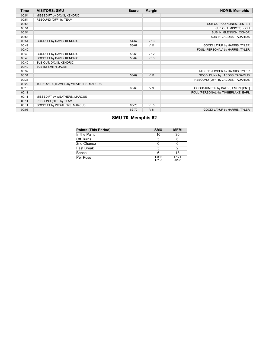| <b>Time</b> | <b>VISITORS: SMU</b>                  | <b>Score</b> | <b>Margin</b>   | <b>HOME: Memphis</b>                |
|-------------|---------------------------------------|--------------|-----------------|-------------------------------------|
| 00:54       | MISSED FT by DAVIS, KENDRIC           |              |                 |                                     |
| 00:54       | REBOUND (OFF) by TEAM                 |              |                 |                                     |
| 00:54       |                                       |              |                 | SUB OUT: QUINONES, LESTER           |
| 00:54       |                                       |              |                 | SUB OUT: MINOTT, JOSH               |
| 00:54       |                                       |              |                 | SUB IN: GLENNON, CONOR              |
| 00:54       |                                       |              |                 | SUB IN: JACOBS, TADARIUS            |
| 00:54       | GOOD! FT by DAVIS, KENDRIC            | 54-67        | V <sub>13</sub> |                                     |
| 00:42       |                                       | 56-67        | V <sub>11</sub> | GOOD! LAYUP by HARRIS, TYLER        |
| 00:40       |                                       |              |                 | FOUL (PERSONAL) by HARRIS, TYLER    |
| 00:40       | GOOD! FT by DAVIS, KENDRIC            | 56-68        | V <sub>12</sub> |                                     |
| 00:40       | GOOD! FT by DAVIS, KENDRIC            | 56-69        | V <sub>13</sub> |                                     |
| 00:40       | SUB OUT: DAVIS, KENDRIC               |              |                 |                                     |
| 00:40       | SUB IN: SMITH, JALEN                  |              |                 |                                     |
| 00:32       |                                       |              |                 | MISSED JUMPER by HARRIS, TYLER      |
| 00:31       |                                       | 58-69        | V <sub>11</sub> | GOOD! DUNK by JACOBS, TADARIUS      |
| 00:31       |                                       |              |                 | REBOUND (OFF) by JACOBS, TADARIUS   |
| 00:22       | TURNOVER (TRAVEL) by WEATHERS, MARCUS |              |                 |                                     |
| 00:13       |                                       | 60-69        | V <sub>9</sub>  | GOOD! JUMPER by BATES, EMONI [PNT]  |
| 00:11       |                                       |              |                 | FOUL (PERSONAL) by TIMBERLAKE, EARL |
| 00:11       | MISSED FT by WEATHERS, MARCUS         |              |                 |                                     |
| 00:11       | REBOUND (OFF) by TEAM                 |              |                 |                                     |
| 00:11       | GOOD! FT by WEATHERS, MARCUS          | 60-70        | $V$ 10          |                                     |
| 00:06       |                                       | 62-70        | V8              | GOOD! LAYUP by HARRIS, TYLER        |

# **SMU 70, Memphis 62**

| <b>Points (This Period)</b> | <b>SMU</b>     | <b>MEM</b>     |
|-----------------------------|----------------|----------------|
| In the Paint                | 10             | 30             |
| Off Turns                   | 5              |                |
| 2nd Chance                  |                |                |
| Fast Break                  | 5              |                |
| Bench                       | 6              | 18             |
| Per Poss                    | 1.086<br>17/35 | 1.171<br>20/35 |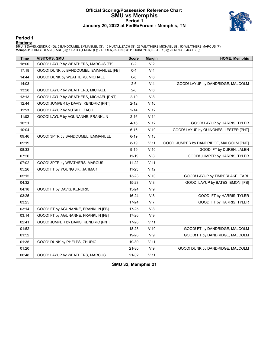#### **Official Scoring/Possession Reference Chart SMU vs Memphis Period 1 January 20, 2022 at FedExForum - Memphis, TN**



#### **Period 1**

<mark>Starters:</mark><br>SMU: 3 DAVIS,KENDRIC (G); 5 BANDOUMEL,EMMANUEL (G); 10 NUTALL,ZACH (G); 23 WEATHERS,MICHAEL (G); 50 WEATHERS,MARCUS (F);<br>**Memphis**: 0 TIMBERLAKE,EARL (G); 1 BATES,EMONI (F); 2 DUREN,JALEN (C); 11 QUINONES,LESTE

| <b>Time</b> | <b>VISITORS: SMU</b>                   | <b>Score</b> | <b>Margin</b>   | <b>HOME: Memphis</b>                     |
|-------------|----------------------------------------|--------------|-----------------|------------------------------------------|
| 18:00       | GOOD! LAYUP by WEATHERS, MARCUS [FB]   | $0 - 2$      | V <sub>2</sub>  |                                          |
| 17:18       | GOOD! DUNK by BANDOUMEL, EMMANUEL [FB] | $0 - 4$      | V <sub>4</sub>  |                                          |
| 14:44       | GOOD! DUNK by WEATHERS, MICHAEL        | $0-6$        | $V_6$           |                                          |
| 14:03       |                                        | $2 - 6$      | V <sub>4</sub>  | GOOD! LAYUP by DANDRIDGE, MALCOLM        |
| 13:28       | GOOD! LAYUP by WEATHERS, MICHAEL       | $2 - 8$      | $V_6$           |                                          |
| 13:13       | GOOD! LAYUP by WEATHERS, MICHAEL [PNT] | $2 - 10$     | V8              |                                          |
| 12:44       | GOOD! JUMPER by DAVIS, KENDRIC [PNT]   | 2-12         | $V$ 10          |                                          |
| 11:53       | GOOD! LAYUP by NUTALL, ZACH            | $2 - 14$     | V <sub>12</sub> |                                          |
| 11:02       | GOOD! LAYUP by AGUNANNE, FRANKLIN      | $2 - 16$     | V <sub>14</sub> |                                          |
| 10:51       |                                        | $4 - 16$     | V <sub>12</sub> | GOOD! LAYUP by HARRIS, TYLER             |
| 10:04       |                                        | $6 - 16$     | $V$ 10          | GOOD! LAYUP by QUINONES, LESTER [PNT]    |
| 09:46       | GOOD! 3PTR by BANDOUMEL, EMMANUEL      | $6 - 19$     | V <sub>13</sub> |                                          |
| 09:19       |                                        | $8 - 19$     | V <sub>11</sub> | GOOD! JUMPER by DANDRIDGE, MALCOLM [PNT] |
| 08:33       |                                        | $9 - 19$     | $V$ 10          | GOOD! FT by DUREN, JALEN                 |
| 07:26       |                                        | $11 - 19$    | V8              | GOOD! JUMPER by HARRIS, TYLER            |
| 07:02       | GOOD! 3PTR by WEATHERS, MARCUS         | $11 - 22$    | $V$ 11          |                                          |
| 05:26       | GOOD! FT by YOUNG JR., JAHMAR          | $11 - 23$    | V <sub>12</sub> |                                          |
| 05:15       |                                        | $13 - 23$    | $V$ 10          | GOOD! LAYUP by TIMBERLAKE, EARL          |
| 04:32       |                                        | 15-23        | V8              | GOOD! LAYUP by BATES, EMONI [FB]         |
| 04:18       | GOOD! FT by DAVIS, KENDRIC             | $15 - 24$    | V <sub>9</sub>  |                                          |
| 03:25       |                                        | 16-24        | V8              | GOOD! FT by HARRIS, TYLER                |
| 03:25       |                                        | $17 - 24$    | V <sub>7</sub>  | GOOD! FT by HARRIS, TYLER                |
| 03:14       | GOOD! FT by AGUNANNE, FRANKLIN [FB]    | $17 - 25$    | V8              |                                          |
| 03:14       | GOOD! FT by AGUNANNE, FRANKLIN [FB]    | 17-26        | V <sub>9</sub>  |                                          |
| 02:41       | GOOD! JUMPER by DAVIS, KENDRIC [PNT]   | 17-28        | $V$ 11          |                                          |
| 01:52       |                                        | 18-28        | $V$ 10          | GOOD! FT by DANDRIDGE, MALCOLM           |
| 01:52       |                                        | 19-28        | V <sub>9</sub>  | GOOD! FT by DANDRIDGE, MALCOLM           |
| 01:35       | GOOD! DUNK by PHELPS, ZHURIC           | 19-30        | $V$ 11          |                                          |
| 01:20       |                                        | 21-30        | V <sub>9</sub>  | GOOD! DUNK by DANDRIDGE, MALCOLM         |
| 00:48       | GOOD! LAYUP by WEATHERS, MARCUS        | 21-32        | $V$ 11          |                                          |

**SMU 32, Memphis 21**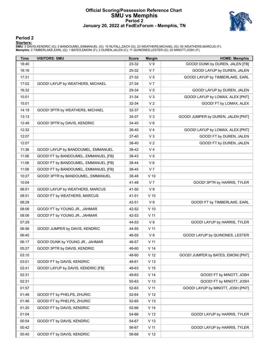#### **Official Scoring/Possession Reference Chart SMU vs Memphis Period 2 January 20, 2022 at FedExForum - Memphis, TN**



### **Period 2**

<mark>Starters:</mark><br>SMU: 3 DAVIS,KENDRIC (G); 5 BANDOUMEL,EMMANUEL (G); 10 NUTALL,ZACH (G); 23 WEATHERS,MICHAEL (G); 50 WEATHERS,MARCUS (F);<br>**Memphis**: 0 TIMBERLAKE,EARL (G); 1 BATES,EMONI (F); 2 DUREN,JALEN (C); 11 QUINONES,LESTE

| <b>Time</b> | <b>VISITORS: SMU</b>                 | <b>Score</b> | <b>Margin</b>   | <b>HOME: Memphis</b>               |
|-------------|--------------------------------------|--------------|-----------------|------------------------------------|
| 18:40       |                                      | 23-32        | V <sub>9</sub>  | GOOD! DUNK by DUREN, JALEN [FB]    |
| 18:16       |                                      | 25-32        | V 7             | GOOD! LAYUP by DUREN, JALEN        |
| 17:31       |                                      | 27-32        | V <sub>5</sub>  | GOOD! LAYUP by TIMBERLAKE, EARL    |
| 17:02       | GOOD! LAYUP by WEATHERS, MICHAEL     | 27-34        | V <sub>7</sub>  |                                    |
| 16:32       |                                      | 29-34        | V <sub>5</sub>  | GOOD! LAYUP by DUREN, JALEN        |
| 15:01       |                                      | 31-34        | $V_3$           | GOOD! LAYUP by LOMAX, ALEX [PNT]   |
| 15:01       |                                      | 32-34        | V <sub>2</sub>  | GOOD! FT by LOMAX, ALEX            |
| 14:19       | GOOD! 3PTR by WEATHERS, MICHAEL      | 32-37        | V <sub>5</sub>  |                                    |
| 13:13       |                                      | 34-37        | $V_3$           | GOOD! JUMPER by DUREN, JALEN [PNT] |
| 12:49       | GOOD! 3PTR by DAVIS, KENDRIC         | 34-40        | $V_6$           |                                    |
| 12:32       |                                      | 36-40        | V <sub>4</sub>  | GOOD! LAYUP by LOMAX, ALEX [PNT]   |
| 12:07       |                                      | 37-40        | $V_3$           | GOOD! FT by DUREN, JALEN           |
| 12:07       |                                      | 38-40        | V <sub>2</sub>  | GOOD! FT by DUREN, JALEN           |
| 11:38       | GOOD! LAYUP by BANDOUMEL, EMMANUEL   | 38-42        | V 4             |                                    |
| 11:08       | GOOD! FT by BANDOUMEL, EMMANUEL [FB] | 38-43        | V <sub>5</sub>  |                                    |
| 11:08       | GOOD! FT by BANDOUMEL, EMMANUEL [FB] | 38-44        | $V_6$           |                                    |
| 11:08       | GOOD! FT by BANDOUMEL, EMMANUEL [FB] | 38-45        | V <sub>7</sub>  |                                    |
| 10:27       | GOOD! 3PTR by BANDOUMEL, EMMANUEL    | 38-48        | $V$ 10          |                                    |
| 10:04       |                                      | 41-48        | V <sub>7</sub>  | GOOD! 3PTR by HARRIS, TYLER        |
| 08:51       | GOOD! LAYUP by WEATHERS, MARCUS      | 41-50        | V <sub>9</sub>  |                                    |
| 08:51       | GOOD! FT by WEATHERS, MARCUS         | 41-51        | $V$ 10          |                                    |
| 08:28       |                                      | 42-51        | V <sub>9</sub>  | GOOD! FT by TIMBERLAKE, EARL       |
| 08:06       | GOOD! FT by YOUNG JR., JAHMAR        | 42-52        | $V$ 10          |                                    |
| 08:06       | GOOD! FT by YOUNG JR., JAHMAR        | 42-53        | V <sub>11</sub> |                                    |
| 07:29       |                                      | 44-53        | V <sub>9</sub>  | GOOD! LAYUP by HARRIS, TYLER       |
| 06:56       | GOOD! JUMPER by DAVIS, KENDRIC       | 44-55        | V <sub>11</sub> |                                    |
| 06:40       |                                      | 46-55        | V <sub>9</sub>  | GOOD! LAYUP by QUINONES, LESTER    |
| 06:17       | GOOD! DUNK by YOUNG JR., JAHMAR      | 46-57        | V <sub>11</sub> |                                    |
| 05:27       | GOOD! 3PTR by DAVIS, KENDRIC         | 46-60        | V <sub>14</sub> |                                    |
| 03:10       |                                      | 48-60        | V <sub>12</sub> | GOOD! JUMPER by BATES, EMONI [PNT] |
| 03:01       | GOOD! FT by DAVIS, KENDRIC           | 48-61        | V <sub>13</sub> |                                    |
| 02:41       | GOOD! LAYUP by DAVIS, KENDRIC [FB]   | 48-63        | V <sub>15</sub> |                                    |
| 02:31       |                                      | 49-63        | V <sub>14</sub> | GOOD! FT by MINOTT, JOSH           |
| 02:31       |                                      | 50-63        | V <sub>13</sub> | GOOD! FT by MINOTT, JOSH           |
| 01:57       |                                      | 52-63        | $V$ 11          | GOOD! LAYUP by MINOTT, JOSH [PNT]  |
| 01:46       | GOOD! FT by PHELPS, ZHURIC           | 52-64        | V <sub>12</sub> |                                    |
| 01:46       | GOOD! FT by PHELPS, ZHURIC           | 52-65        | V <sub>13</sub> |                                    |
| 01:20       | GOOD! FT by DAVIS, KENDRIC           | 52-66        | V <sub>14</sub> |                                    |
| 01:04       |                                      | 54-66        | V <sub>12</sub> | GOOD! LAYUP by HARRIS, TYLER       |
| 00:54       | GOOD! FT by DAVIS, KENDRIC           | 54-67        | V <sub>13</sub> |                                    |
| 00:42       |                                      | 56-67        | $V$ 11          | GOOD! LAYUP by HARRIS, TYLER       |
| 00:40       | GOOD! FT by DAVIS, KENDRIC           | 56-68        | V <sub>12</sub> |                                    |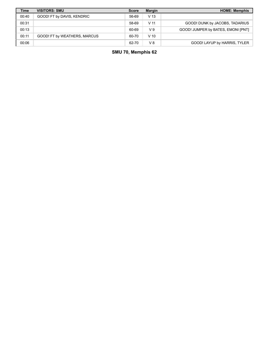| Time  | <b>VISITORS: SMU</b>         | <b>Score</b> | <b>Margin</b>   | <b>HOME: Memphis</b>               |
|-------|------------------------------|--------------|-----------------|------------------------------------|
| 00:40 | GOOD! FT by DAVIS, KENDRIC   | 56-69        | V <sub>13</sub> |                                    |
| 00:31 |                              | 58-69        | V 11            | GOOD! DUNK by JACOBS, TADARIUS     |
| 00:13 |                              | 60-69        | V <sub>9</sub>  | GOOD! JUMPER by BATES, EMONI [PNT] |
| 00:11 | GOOD! FT by WEATHERS, MARCUS | 60-70        | $V$ 10          |                                    |
| 00:06 |                              | 62-70        | V8              | GOOD! LAYUP by HARRIS, TYLER       |

**SMU 70, Memphis 62**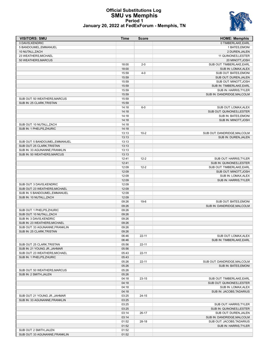#### **Official Substitutions Log SMU vs Memphis Period 1 January 20, 2022 at FedExForum - Memphis, TN**



| <b>VISITORS: SMU</b>           | <b>Time</b>    | <b>Score</b> | <b>HOME: Memphis</b>                              |
|--------------------------------|----------------|--------------|---------------------------------------------------|
| 3 DAVIS, KENDRIC               |                |              | 0 TIMBERLAKE, EARL                                |
| 5 BANDOUMEL, EMMANUEL          |                |              | 1 BATES, EMONI                                    |
| 10 NUTALL, ZACH                |                |              | 2 DUREN, JALEN                                    |
| 23 WEATHERS, MICHAEL           |                |              | 11 QUINONES, LESTER                               |
| 50 WEATHERS, MARCUS            |                |              | 20 MINOTT, JOSH                                   |
|                                | 18:00          | $2 - 0$      | SUB OUT: TIMBERLAKE, EARL                         |
|                                | 18:00          |              | SUB IN: LOMAX, ALEX                               |
|                                | 15:59          | $4 - 0$      | SUB OUT: BATES, EMONI                             |
|                                | 15:59          |              | SUB OUT: DUREN, JALEN                             |
|                                | 15:59          |              | SUB OUT: MINOTT, JOSH                             |
|                                | 15:59          |              | SUB IN: TIMBERLAKE, EARL                          |
|                                | 15:59          |              | SUB IN: HARRIS, TYLER                             |
|                                | 15:59          |              | SUB IN: DANDRIDGE, MALCOLM                        |
| SUB OUT: 50 WEATHERS, MARCUS   | 15:59          |              |                                                   |
| SUB IN: 25 CLARK, TRISTAN      | 15:59          | $6-0$        |                                                   |
|                                | 14:18<br>14:18 |              | SUB OUT: LOMAX, ALEX<br>SUB OUT: QUINONES, LESTER |
|                                | 14:18          |              | SUB IN: BATES, EMONI                              |
|                                | 14:18          |              | SUB IN: MINOTT, JOSH                              |
| SUB OUT: 10 NUTALL, ZACH       | 14:18          |              |                                                   |
| SUB IN: 1 PHELPS, ZHURIC       | 14:18          |              |                                                   |
|                                | 13:13          | $10 - 2$     | SUB OUT: DANDRIDGE, MALCOLM                       |
|                                | 13:13          |              | SUB IN: DUREN, JALEN                              |
| SUB OUT: 5 BANDOUMEL, EMMANUEL | 13:13          |              |                                                   |
| SUB OUT: 25 CLARK, TRISTAN     | 13:13          |              |                                                   |
| SUB IN: 33 AGUNANNE, FRANKLIN  | 13:13          |              |                                                   |
| SUB IN: 50 WEATHERS, MARCUS    | 13:13          |              |                                                   |
|                                | 12:41          | $12 - 2$     | SUB OUT: HARRIS, TYLER                            |
|                                | 12:41          |              | SUB IN: QUINONES, LESTER                          |
|                                | 12:09          | $12 - 2$     | SUB OUT: TIMBERLAKE, EARL                         |
|                                | 12:09          |              | SUB OUT: MINOTT, JOSH                             |
|                                | 12:09          |              | SUB IN: LOMAX, ALEX                               |
|                                | 12:09          |              | SUB IN: HARRIS, TYLER                             |
| SUB OUT: 3 DAVIS, KENDRIC      | 12:09          |              |                                                   |
| SUB OUT: 23 WEATHERS, MICHAEL  | 12:09          |              |                                                   |
| SUB IN: 5 BANDOUMEL, EMMANUEL  | 12:09          |              |                                                   |
| SUB IN: 10 NUTALL, ZACH        | 12:09          |              |                                                   |
|                                | 09:26          | $19-6$       | SUB OUT: BATES, EMONI                             |
|                                | 09:26          |              | SUB IN: DANDRIDGE, MALCOLM                        |
| SUB OUT: 1 PHELPS, ZHURIC      | 09:26          |              |                                                   |
| SUB OUT: 10 NUTALL, ZACH       | 09:26          |              |                                                   |
| SUB IN: 3 DAVIS, KENDRIC       | 09:26          |              |                                                   |
| SUB IN: 23 WEATHERS, MICHAEL   | 09:26          |              |                                                   |
| SUB OUT: 33 AGUNANNE, FRANKLIN | 09:26          |              |                                                   |
| SUB IN: 25 CLARK, TRISTAN      | 09:26          |              |                                                   |
|                                | 06:46          | $22 - 11$    | SUB OUT: LOMAX, ALEX                              |
|                                | 06:46          |              | SUB IN: TIMBERLAKE, EARL                          |
| SUB OUT: 25 CLARK, TRISTAN     | 05:56          | $22 - 11$    |                                                   |
| SUB IN: 21 YOUNG JR., JAHMAR   | 05:56          |              |                                                   |
| SUB OUT: 23 WEATHERS, MICHAEL  | 05:43          | $22 - 11$    |                                                   |
| SUB IN: 1 PHELPS, ZHURIC       | 05:43          |              |                                                   |
|                                | 05:26          | $22 - 11$    | SUB OUT: DANDRIDGE, MALCOLM                       |
|                                | 05:26          |              | <b>SUB IN: BATES, EMONI</b>                       |
| SUB OUT: 50 WEATHERS, MARCUS   | 05:26          |              |                                                   |
| SUB IN: 2 SMITH, JALEN         | 05:26          |              |                                                   |
|                                | 04:18          | $23 - 15$    | SUB OUT: TIMBERLAKE, EARL                         |
|                                | 04:18          |              | SUB OUT: QUINONES, LESTER                         |
|                                | 04:18          |              | SUB IN: LOMAX, ALEX                               |
|                                | 04:18          |              | SUB IN: JACOBS, TADARIUS                          |
| SUB OUT: 21 YOUNG JR., JAHMAR  | 03:25          | $24 - 15$    |                                                   |
| SUB IN: 33 AGUNANNE, FRANKLIN  | 03:25          |              |                                                   |
|                                | 03:25          |              | SUB OUT: HARRIS, TYLER                            |
|                                | 03:25          |              | SUB IN: QUINONES, LESTER                          |
|                                | 03:14          | $26-17$      | SUB OUT: DUREN, JALEN                             |
|                                | 03:14          |              | SUB IN: DANDRIDGE, MALCOLM                        |
|                                | 01:52          | 28-18        | SUB OUT: JACOBS, TADARIUS                         |
|                                | 01:52          |              | SUB IN: HARRIS, TYLER                             |
| SUB OUT: 2 SMITH, JALEN        | 01:52          |              |                                                   |
| SUB OUT: 33 AGUNANNE, FRANKLIN | 01:52          |              |                                                   |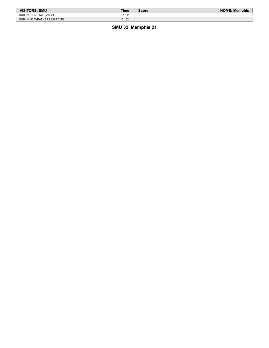| <b>VISITORS: SMU</b>        | Time  | Score | <b>HOME: Memphis</b> |
|-----------------------------|-------|-------|----------------------|
| SUB IN: 10 NUTALL.ZACH      | 01:52 |       |                      |
| SUB IN: 50 WEATHERS, MARCUS | 01:52 |       |                      |

**SMU 32, Memphis 21**